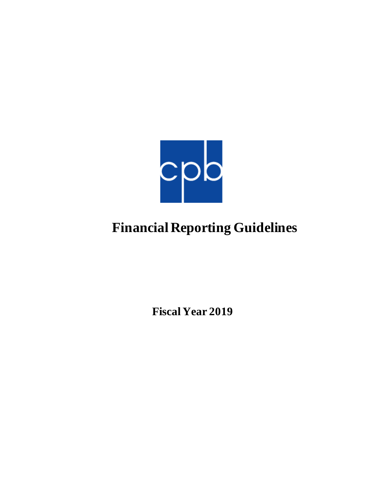

# **Financial Reporting Guidelines**

**Fiscal Year 2019**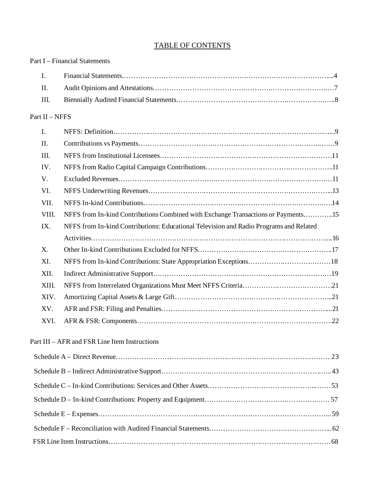## TABLE OF CONTENTS

|                | <b>Part I</b> – Financial Statements                                                   |  |
|----------------|----------------------------------------------------------------------------------------|--|
| I.             |                                                                                        |  |
| II.            |                                                                                        |  |
| III.           |                                                                                        |  |
| Part II - NFFS |                                                                                        |  |
| I.             |                                                                                        |  |
| II.            |                                                                                        |  |
| III.           |                                                                                        |  |
| IV.            |                                                                                        |  |
| V.             |                                                                                        |  |
| VI.            |                                                                                        |  |
| VII.           |                                                                                        |  |
| VIII.          | NFFS from In-kind Contributions Combined with Exchange Transactions or Payments15      |  |
| IX.            | NFFS from In-kind Contributions: Educational Television and Radio Programs and Related |  |
|                |                                                                                        |  |
| X.             |                                                                                        |  |
| XI.            |                                                                                        |  |
| XII.           |                                                                                        |  |
| XIII.          |                                                                                        |  |
| XIV.           |                                                                                        |  |
| XV.            |                                                                                        |  |
| XVI.           |                                                                                        |  |
|                | Part III – AFR and FSR Line Item Instructions                                          |  |
|                |                                                                                        |  |
|                |                                                                                        |  |
|                |                                                                                        |  |
|                |                                                                                        |  |
|                |                                                                                        |  |
|                |                                                                                        |  |
|                |                                                                                        |  |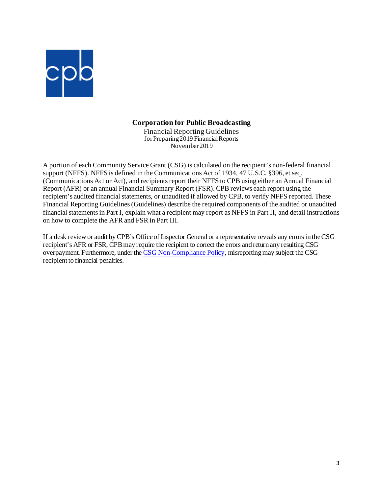

## **Corporation for Public Broadcasting**

Financial Reporting Guidelines for Preparing 2019 Financial Reports November 2019

A portion of each Community Service Grant (CSG) is calculated on the recipient's non-federal financial support (NFFS). NFFS is defined in the Communications Act of 1934, 47 U.S.C. §396, et seq. (Communications Act or Act), and recipients report their NFFS to CPB using either an Annual Financial Report (AFR) or an annual Financial Summary Report (FSR). CPB reviews each report using the recipient's audited financial statements, or unaudited if allowed by CPB, to verify NFFS reported. These Financial Reporting Guidelines (Guidelines) describe the required components of the audited or unaudited financial statements in Part I, explain what a recipient may report as NFFS in Part II, and detail instructions on how to complete the AFR and FSR in Part III.

If a desk review or audit by CPB's Office of Inspector General or a representative reveals any errors in the CSG recipient's AFR or FSR, CPB may require the recipient to correct the errors and return any resulting CSG overpayment. Furthermore, under th[e CSG Non-Compliance Policy](https://www.cpb.org/stations/non-compliance), misreporting may subject the CSG recipient to financial penalties.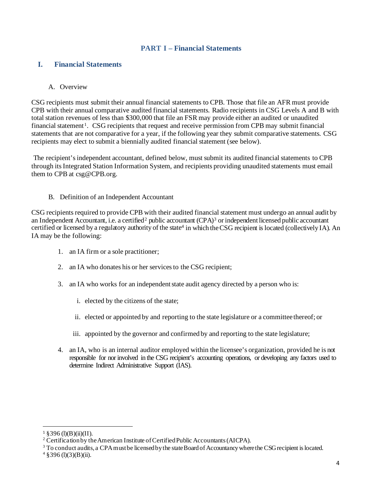## **PART I – Financial Statements**

## **I. Financial Statements**

## A. Overview

CSG recipients must submit their annual financial statements to CPB. Those that file an AFR must provide CPB with their annual comparative audited financial statements. Radio recipients in CSG Levels A and B with total station revenues of less than \$300,000 that file an FSR may provide either an audited or unaudited financial statement<sup>[1](#page-3-0)</sup>. CSG recipients that request and receive permission from CPB may submit financial statements that are not comparative for a year, if the following year they submit comparative statements. CSG recipients may elect to submit a biennially audited financial statement (see below).

The recipient's independent accountant, defined below, must submit its audited financial statements to CPB through its Integrated Station Information System, and recipients providing unaudited statements must email them to CPB at csg@CPB.org.

#### B. Definition of an Independent Accountant

CSG recipients required to provide CPB with their audited financial statement must undergo an annual audit by an Independent Accountant, i.e. a certified<sup>[2](#page-3-1)</sup> public accountant (CPA)<sup>[3](#page-3-2)</sup> or independent licensed public accountant certified or licensed by a regulatory authority of the state<sup>4</sup> in which the CSG recipient is located (collectively IA). An IA may be the following:

- 1. an IA firm or a sole practitioner;
- 2. an IA who donates his or her services to the CSG recipient;
- 3. an IA who works for an independentstate audit agency directed by a person who is:
	- i. elected by the citizens of the state;
	- ii. elected or appointed by and reporting to the state legislature or a committee thereof; or
	- iii. appointed by the governor and confirmed by and reporting to the state legislature;
- 4. an IA, who is an internal auditor employed within the licensee's organization, provided he is not responsible for nor involved in the CSG recipient's accounting operations, or developing any factors used to determine Indirect Administrative Support (IAS).

 $1 \text{ } $396 \text{ (l)(B)(ii)(II)}.$ 

<span id="page-3-1"></span><span id="page-3-0"></span><sup>&</sup>lt;sup>2</sup> Certification by the American Institute of Certified Public Accountants (AICPA).

<span id="page-3-3"></span><span id="page-3-2"></span><sup>&</sup>lt;sup>3</sup> To conduct audits, a CPA must be licensed by the state Board of Accountancy where the CSG recipient is located.  $4 \text{ §}396 \text{ (l)}(3)(B)$ (ii).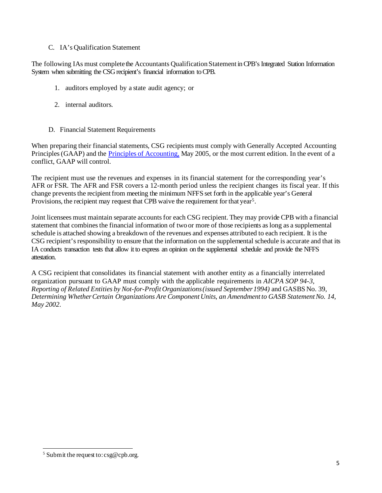## C. IA's Qualification Statement

The following IAs must complete the Accountants Qualification Statement in CPB's Integrated Station Information System when submitting the CSG recipient's financial information to CPB.

- 1. auditors employed by a state audit agency; or
- 2. internal auditors.
- D. Financial Statement Requirements

When preparing their financial statements, CSG recipients must comply with Generally Accepted Accounting Principles (GAAP) and the [Principles of Accounting,](https://www.cpb.org/stations/principles/) May 2005, or the most current edition. In the event of a conflict, GAAP will control.

The recipient must use the revenues and expenses in its financial statement for the corresponding year's AFR or FSR. The AFR and FSR covers a 12-month period unless the recipient changes its fiscal year. If this change prevents the recipient from meeting the minimum NFFS set forth in the applicable year's General Provisions, the recipient may request that CPB waive the requirement for that year<sup>[5](#page-4-0)</sup>.

Joint licensees must maintain separate accountsfor each CSG recipient. They may provide CPB with a financial statement that combines the financial information of two or more of those recipients as long as a supplemental schedule is attached showing a breakdown of the revenues and expenses attributed to each recipient. It is the CSG recipient's responsibility to ensure that the information on the supplemental schedule is accurate and that its IA conducts transaction tests that allow it to express an opinion on the supplemental schedule and provide the NFFS attestation.

A CSG recipient that consolidates its financial statement with another entity as a financially interrelated organization pursuant to GAAP must comply with the applicable requirements in *AICPA SOP 94-3, Reporting of Related Entities by Not-for-Profit Organizations(issued September1994)* and GASBS No. 39, *Determining WhetherCertain Organizations Are Component Units, an Amendment to GASB StatementNo. 14, May 2002*.

<span id="page-4-0"></span><sup>&</sup>lt;sup>5</sup> Submit the request to:  $csg@cpb.org$ .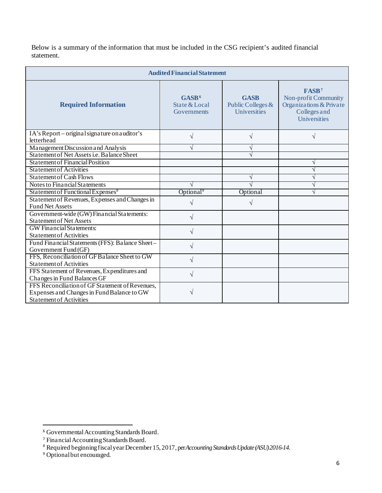Below is a summary of the information that must be included in the CSG recipient's audited financial statement.

| <b>Audited Financial Statement</b>                                                                                              |                                                   |                                                  |                                                                                                      |  |
|---------------------------------------------------------------------------------------------------------------------------------|---------------------------------------------------|--------------------------------------------------|------------------------------------------------------------------------------------------------------|--|
| <b>Required Information</b>                                                                                                     | GASB <sup>6</sup><br>State & Local<br>Governments | <b>GASB</b><br>Public Colleges &<br>Universities | FASB <sup>7</sup><br>Non-profit Community<br>Organizations & Private<br>Colleges and<br>Universities |  |
| IA's Report - original signature on auditor's<br>letterhead                                                                     | $\sqrt{}$                                         | V                                                | $\sqrt{ }$                                                                                           |  |
| Management Discussion and Analysis                                                                                              | N                                                 | V                                                |                                                                                                      |  |
| Statement of Net Assets <i>i.e.</i> Balance Sheet                                                                               |                                                   | V                                                |                                                                                                      |  |
| <b>Statement of Financial Position</b>                                                                                          |                                                   |                                                  | $\mathcal{N}$                                                                                        |  |
| <b>Statement of Activities</b>                                                                                                  |                                                   |                                                  | $\sqrt{ }$                                                                                           |  |
| <b>Statement of Cash Flows</b>                                                                                                  |                                                   | V                                                | $\mathcal{N}$                                                                                        |  |
| Notes to Financial Statements                                                                                                   | V                                                 | V                                                | $\mathcal{L}$                                                                                        |  |
| Statement of Functional Expenses <sup>8</sup>                                                                                   | Optional <sup>9</sup>                             | Optional                                         | $\mathcal{N}$                                                                                        |  |
| Statement of Revenues, Expenses and Changes in<br><b>Fund Net Assets</b>                                                        | V                                                 | V                                                |                                                                                                      |  |
| Government-wide (GW) Financial Statements:<br><b>Statement of Net Assets</b>                                                    | $\sqrt{}$                                         |                                                  |                                                                                                      |  |
| <b>GW</b> Financial Statements:<br><b>Statement of Activities</b>                                                               | $\sqrt{}$                                         |                                                  |                                                                                                      |  |
| Fund Financial Statements (FFS): Balance Sheet-<br>Government Fund (GF)                                                         | $\sqrt{}$                                         |                                                  |                                                                                                      |  |
| FFS, Reconciliation of GF Balance Sheet to GW<br><b>Statement of Activities</b>                                                 | V                                                 |                                                  |                                                                                                      |  |
| FFS Statement of Revenues, Expenditures and<br>Changes in Fund Balances GF                                                      | V                                                 |                                                  |                                                                                                      |  |
| FFS Reconciliation of GF Statement of Revenues.<br>Expenses and Changes in Fund Balance to GW<br><b>Statement of Activities</b> |                                                   |                                                  |                                                                                                      |  |

<span id="page-5-0"></span><sup>6</sup> Governmental Accounting Standards Board.

<span id="page-5-1"></span><sup>7</sup> Financial Accounting Standards Board.

<sup>8</sup> Required beginningfiscal year December 15, 2017, per *Accounting Standards Update (ASU) 2016-14.*

<span id="page-5-3"></span><span id="page-5-2"></span><sup>&</sup>lt;sup>9</sup> Optional but encouraged.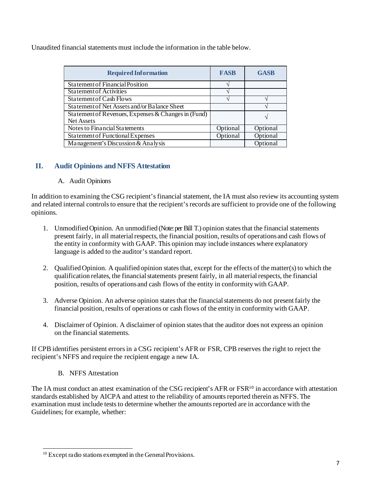Unaudited financial statements must include the information in the table below.

| <b>Required Information</b>                         | <b>FASB</b> | <b>GASB</b> |
|-----------------------------------------------------|-------------|-------------|
| <b>Statement of Financial Position</b>              |             |             |
| Statement of Activities                             |             |             |
| <b>Statement of Cash Flows</b>                      |             |             |
| Statement of Net Assets and/or Balance Sheet        |             |             |
| Statement of Revenues, Expenses & Changes in (Fund) |             |             |
| <b>Net Assets</b>                                   |             |             |
| Notes to Financial Statements                       | Optional    | Optional    |
| Statement of Functional Expenses                    | Optional    | Optional    |
| Management's Discussion & Analysis                  |             | Optional    |

## **II. Audit Opinions and NFFS Attestation**

## A. Audit Opinions

In addition to examining the CSG recipient's financial statement, the IA must also review its accounting system and related internal controls to ensure that the recipient's records are sufficient to provide one of the following opinions.

- 1. UnmodifiedOpinion. An unmodified (Note: per Bill T.) opinion statesthat the financial statements present fairly, in all material respects, the financial position, results of operations and cash flows of the entity in conformity with GAAP. This opinion may include instances where explanatory language is added to the auditor's standard report.
- 2. Qualified Opinion. A qualified opinion states that, except for the effects of the matter(s) to which the qualification relates, the financial statements present fairly, in all material respects, the financial position, results of operationsand cash flows of the entity in conformitywith GAAP.
- 3. Adverse Opinion. An adverse opinion statesthat the financialstatements do not presentfairly the financial position, results of operations or cash flows of the entity in conformitywith GAAP.
- 4. Disclaimer of Opinion. A disclaimer of opinion statesthat the auditor does not express an opinion on the financial statements.

If CPB identifies persistent errors in a CSG recipient's AFR or FSR, CPB reserves the right to reject the recipient's NFFS and require the recipient engage a new IA.

B. NFFS Attestation

The IA must conduct an attest examination of the CSG recipient's AFR or FSR<sup>10</sup> in accordance with attestation standards established by AICPA and attest to the reliability of amounts reported therein as NFFS. The examination must include tests to determine whether the amounts reported are in accordance with the Guidelines; for example, whether:

<span id="page-6-0"></span><sup>&</sup>lt;sup>10</sup> Except radio stations exempted in the General Provisions.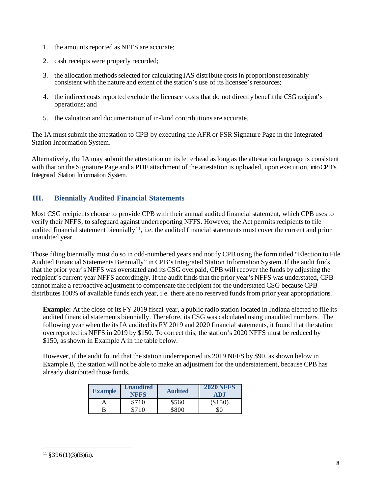- 1. the amounts reported as NFFS are accurate;
- 2. cash receipts were properly recorded;
- 3. the allocation methodsselected for calculating IAS distribute costsin proportionsreasonably consistent with the nature and extent of the station's use of its licensee's resources;
- 4. the indirect costs reported exclude the licensee costs that do not directly benefit the CSG recipient's operations; and
- 5. the valuation and documentation of in-kind contributions are accurate.

The IA must submit the attestation to CPB by executing the AFR or FSR Signature Page in the Integrated Station Information System.

Alternatively, the IA may submit the attestation on its letterhead as long as the attestation language is consistent with that on the Signature Page and a PDF attachment of the attestation is uploaded, upon execution, into CPB's Integrated Station Information System.

## **III. Biennially Audited Financial Statements**

Most CSG recipients choose to provide CPB with their annual audited financial statement, which CPB uses to verify their NFFS, to safeguard against underreporting NFFS. However, the Act permits recipients to file audited financial statement biennially<sup>11</sup>, i.e. the audited financial statements must cover the current and prior unaudited year.

Those filing biennially must do so in odd-numbered years and notify CPB using the form titled "Election to File Audited Financial Statements Biennially" in CPB's Integrated Station Information System. If the audit finds that the prior year's NFFS was overstated and its CSG overpaid, CPB will recover the funds by adjusting the recipient's current year NFFS accordingly. If the audit finds that the prior year's NFFS was understated, CPB cannot make a retroactive adjustment to compensate the recipient for the understated CSG because CPB distributes 100% of available funds each year, i.e. there are no reserved funds from prior year appropriations.

**Example:** At the close of its FY 2019 fiscal year, a public radio station located in Indiana elected to file its audited financial statements biennially. Therefore, its CSG was calculated using unaudited numbers. The following year when the its IA audited its FY 2019 and 2020 financial statements, it found that the station overreported its NFFS in 2019 by \$150. To correct this, the station's 2020 NFFS must be reduced by \$150, as shown in Example A in the table below.

However, if the audit found that the station underreported its 2019 NFFS by \$90, as shown below in Example B, the station will not be able to make an adjustment for the understatement, because CPB has already distributed those funds.

| <b>Example</b> | <b>Unaudited</b><br><b>NFFS</b> | <b>Audited</b> | <b>2020 NFFS</b><br><b>ADJ</b> |
|----------------|---------------------------------|----------------|--------------------------------|
|                | \$710                           | \$560          | \$150                          |
|                | \$710                           | \$800          | \$0                            |

<span id="page-7-0"></span> $11 \text{ } $396(1)(3)(B)(ii).$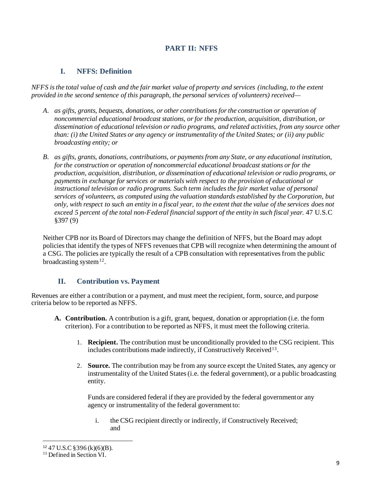## **PART II: NFFS**

## **I. NFFS: Definition**

*NFFS is the total value of cash and the fair market value of property and services (including, to the extent provided in the second sentence of this paragraph, the personal services of volunteers) received—*

- *A. as gifts, grants, bequests, donations, or other contributions for the construction or operation of noncommercial educational broadcast stations, or for the production, acquisition, distribution, or dissemination of educational television or radio programs, and related activities, from any source other than: (i) the United States or any agency or instrumentality of the United States; or (ii) any public broadcasting entity; or*
- *B. as gifts, grants, donations, contributions, or payments from any State, or any educational institution, for the construction or operation of noncommercial educational broadcast stations or for the production, acquisition, distribution, or dissemination of educational television or radio programs, or payments in exchange for services or materials with respect to the provision of educational or instructional television or radio programs. Such term includes the fair market value of personal services of volunteers, as computed using the valuation standards established by the Corporation, but only, with respect to such an entity in a fiscal year, to the extent that the value of the services does not exceed 5 percent of the total non-Federal financial support of the entity in such fiscal year.* 47 U.S.C §397 (9)

Neither CPB nor its Board of Directors may change the definition of NFFS, but the Board may adopt policies that identify the types of NFFS revenues that CPB will recognize when determining the amount of a CSG. The policies are typically the result of a CPB consultation with representatives from the public broadcasting system $12$ .

## **II. Contribution vs. Payment**

Revenues are either a contribution or a payment, and must meet the recipient, form, source, and purpose criteria below to be reported as NFFS.

- **A. Contribution.** A contribution is a gift, grant, bequest, donation or appropriation (i.e. the form criterion). For a contribution to be reported as NFFS, it must meet the following criteria.
	- 1. **Recipient.** The contribution must be unconditionally provided to the CSG recipient. This includes contributions made indirectly, if Constructively Received<sup>[13](#page-8-1)</sup>.
	- 2. **Source.** The contribution may be from any source except the United States, any agency or instrumentality of the United States (i.e. the federal government), or a public broadcasting entity.

Funds are considered federal if they are provided by the federal governmentor any agency or instrumentality of the federal government to:

i. the CSG recipient directly or indirectly, if Constructively Received; and

<span id="page-8-0"></span><sup>&</sup>lt;sup>12</sup> 47 U.S.C § 396 (k)(6)(B).<br><sup>13</sup> Defined in Section VI.

<span id="page-8-1"></span>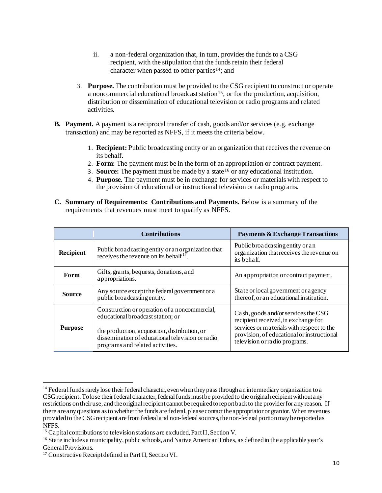- ii. a non-federal organization that, in turn, provides the funds to a CSG recipient, with the stipulation that the funds retain their federal character when passed to other parties<sup>14</sup>; and
- 3. **Purpose.** The contribution must be provided to the CSG recipient to construct or operate a noncommercial educational broadcast station<sup>15</sup>, or for the production, acquisition, distribution or dissemination of educational television or radio programs and related activities.
- **B. Payment.** A payment is a reciprocal transfer of cash, goods and/or services (e.g. exchange transaction) and may be reported as NFFS, if it meets the criteria below.
	- 1. **Recipient:** Public broadcasting entity or an organization that receives the revenue on its behalf.
	- 2. **Form:** The payment must be in the form of an appropriation or contract payment.
	- 3. **Source:** The payment must be made by a state  $16$  or any educational institution.
	- 4. **Purpose.** The payment must be in exchange for services or materials with respect to the provision of educational or instructional television or radio programs.
- **C. Summary of Requirements: Contributions and Payments.** Below is a summary of the requirements that revenues must meet to qualify as NFFS.

|                                                                    | <b>Contributions</b>                                                                                                                                                                                                        | <b>Payments &amp; Exchange Transactions</b>                                                                                                                                                            |  |
|--------------------------------------------------------------------|-----------------------------------------------------------------------------------------------------------------------------------------------------------------------------------------------------------------------------|--------------------------------------------------------------------------------------------------------------------------------------------------------------------------------------------------------|--|
| Recipient                                                          | Public broadcasting entity or an organization that<br>receives the revenue on its behalf $17$ .                                                                                                                             | Public broadcasting entity or an<br>organization that receives the revenue on<br>its behalf.                                                                                                           |  |
| Gifts, grants, bequests, donations, and<br>Form<br>appropriations. |                                                                                                                                                                                                                             | An appropriation or contract payment.                                                                                                                                                                  |  |
| <b>Source</b>                                                      | Any source except the federal government or a<br>public broadcasting entity.                                                                                                                                                | State or local government or a gency<br>thereof, or an educational institution.                                                                                                                        |  |
| <b>Purpose</b>                                                     | Construction or operation of a noncommercial,<br>educational broadcast station; or<br>the production, acquisition, distribution, or<br>dissemination of educational television or radio<br>programs and related activities. | Cash, goods and/or services the CSG<br>recipient received, in exchange for<br>services or materials with respect to the<br>provision, of educational or instructional<br>television or radio programs. |  |

<span id="page-9-0"></span><sup>&</sup>lt;sup>14</sup> Federal funds rarely lose their federal character, even when they pass through an intermediary organization to a CSG recipient. To lose their federal character, federal funds must be provided to the original recipient without any restrictions on their use, and the original recipient cannot be required to report back to the provider for any reason. If there areany questions as to whether the funds are federal, please contact the appropriator or grantor. When revenues provided to the CSG recipient are from federal and non-federal sources, the non-federal portion may be reported as NFFS.

<span id="page-9-1"></span><sup>&</sup>lt;sup>15</sup> Capital contributions to television stations are excluded, Part II, Section V.

<span id="page-9-2"></span><sup>16</sup> State includes a municipality, public schools, and Native American Tribes, as defined in the applicable year's General Provisions.

<span id="page-9-3"></span><sup>17</sup> Constructive Receipt defined in Part II, Section VI.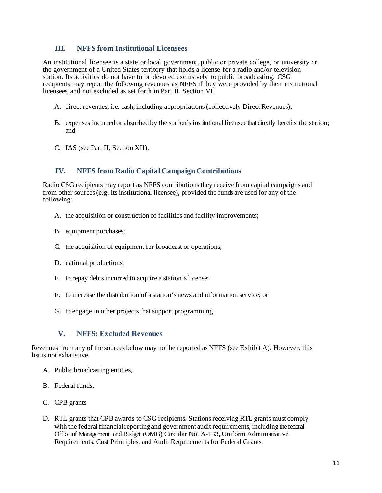## **III. NFFS from Institutional Licensees**

An institutional licensee is a state or local government, public or private college, or university or the government of a United States territory that holds a license for a radio and/or television station. Its activities do not have to be devoted exclusively to public broadcasting. CSG recipients may report the following revenues as NFFS if they were provided by their institutional licensees and not excluded as set forth in Part II, Section VI.

- A. direct revenues, i.e. cash, including appropriations (collectively Direct Revenues);
- B. expenses incurred or absorbed by the station's institutional licensee that directly benefits the station; and
- C. IAS (see Part II, Section XII).

## **IV. NFFS from Radio Capital Campaign Contributions**

Radio CSG recipients may report as NFFS contributions they receive from capital campaigns and from other sources (e.g. its institutional licensee), provided the funds are used for any of the following:

- A. the acquisition or construction of facilities and facility improvements;
- B. equipment purchases;
- C. the acquisition of equipment for broadcast or operations;
- D. national productions;
- E. to repay debts incurred to acquire a station's license;
- F. to increase the distribution of a station's news and information service; or
- G. to engage in other projects that support programming.

#### **V. NFFS: Excluded Revenues**

Revenues from any of the sources below may not be reported as NFFS (see Exhibit A). However, this list is not exhaustive.

- A. Public broadcasting entities,
- B. Federal funds.
- C. CPB grants
- D. RTL grants that CPB awards to CSG recipients. Stations receiving RTL grants must comply with the federal financial reporting and government audit requirements, including the federal Office of Management and Budget (OMB) Circular No. A-133, Uniform Administrative Requirements, Cost Principles, and Audit Requirements for Federal Grants*.*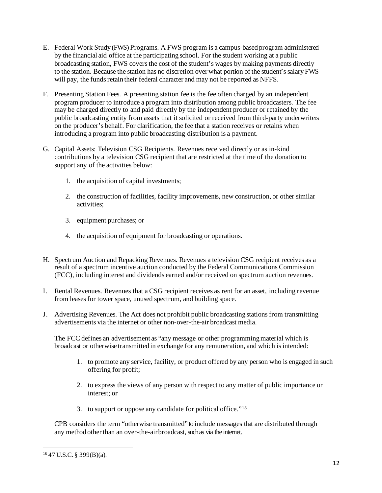- E. Federal Work Study (FWS) Programs. A FWS program is a campus-based program administered by the financial aid office at the participating school. For the student working at a public broadcasting station, FWS covers the cost of the student's wages by making payments directly to the station. Because the station has no discretion over what portion of the student's salary FWS will pay, the funds retain their federal character and may not be reported as NFFS.
- F. Presenting Station Fees. A presenting station fee is the fee often charged by an independent program producer to introduce a program into distribution among public broadcasters. The fee may be charged directly to and paid directly by the independent producer or retained by the public broadcasting entity from assets that it solicited or received from third-party underwriters on the producer's behalf. For clarification, the fee that a station receives or retains when introducing a program into public broadcasting distribution is a payment.
- G. Capital Assets: Television CSG Recipients. Revenues received directly or as in-kind contributions by a television CSG recipient that are restricted at the time of the donation to support any of the activities below:
	- 1. the acquisition of capital investments;
	- 2. the construction of facilities, facility improvements, new construction, or other similar activities;
	- 3. equipment purchases; or
	- 4. the acquisition of equipment for broadcasting or operations.
- H. Spectrum Auction and Repacking Revenues. Revenues a television CSG recipient receives as a result of a spectrum incentive auction conducted by the Federal Communications Commission (FCC), including interest and dividends earned and/or received on spectrum auction revenues.
- I. Rental Revenues. Revenues that a CSG recipient receives as rent for an asset, including revenue from leases for tower space, unused spectrum, and building space.
- J. Advertising Revenues. The Act does not prohibit public broadcasting stationsfrom transmitting advertisements via the internet or other non-over-the-air broadcast media.

The FCC defines an advertisement as "any message or other programmingmaterial which is broadcast or otherwise transmitted in exchange for any remuneration, and which is intended:

- 1. to promote any service, facility, or product offered by any person who is engaged in such offering for profit;
- 2. to express the views of any person with respect to any matter of public importance or interest; or
- 3. to support or oppose any candidate for political office."[18](#page-11-0)

CPB considers the term "otherwise transmitted" to include messages that are distributed through any method other than an over-the-air broadcast, such as via the internet.

<span id="page-11-0"></span><sup>18</sup> 47 U.S.C. § 399(B)(a).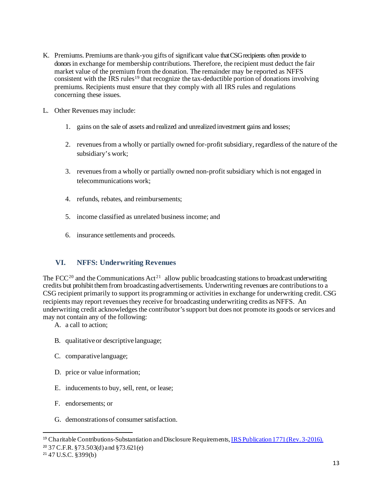- K. Premiums. Premiums are thank-you gifts of significant value that CSG recipients often provide to donors in exchange for membership contributions. Therefore, the recipient must deduct the fair market value of the premium from the donation. The remainder may be reported as NFFS consistent with the IRS rules<sup>[19](#page-12-0)</sup> that recognize the tax-deductible portion of donations involving premiums. Recipients must ensure that they comply with all IRS rules and regulations concerning these issues.
- L. Other Revenues may include:
	- 1. gains on the sale of assets and realized and unrealized investment gains and losses;
	- 2. revenues from a wholly or partially owned for-profit subsidiary, regardless of the nature of the subsidiary's work;
	- 3. revenues from a wholly or partially owned non-profit subsidiary which is not engaged in telecommunications work;
	- 4. refunds, rebates, and reimbursements;
	- 5. income classified as unrelated business income; and
	- 6. insurance settlements and proceeds.

## **VI. NFFS: Underwriting Revenues**

The FCC<sup>[20](#page-12-1)</sup> and the Communications  $Act^{21}$  $Act^{21}$  $Act^{21}$  allow public broadcasting stations to broadcast underwriting credits but prohibit them from broadcasting advertisements. Underwriting revenues are contributions to a CSG recipient primarily to support its programming or activities in exchange for underwriting credit. CSG recipients may report revenues they receive for broadcasting underwriting credits as NFFS. An underwriting credit acknowledges the contributor's support but does not promote its goods or services and may not contain any of the following:

- A. a call to action;
- B. qualitative or descriptive language;
- C. comparative language;
- D. price or value information;
- E. inducements to buy, sell, rent, or lease;
- F. endorsements; or
- G. demonstrationsof consumersatisfaction.

<span id="page-12-0"></span><sup>19</sup> Charitable Contributions-Substantiation and Disclosure Requirements[, IRS Publication 1771 \(Rev. 3-2016\).](https://www.irs.gov/pub/irs-pdf/p1771.pdf)

<span id="page-12-1"></span><sup>20</sup> 37 C.F.R. §73.503(d) and §73.621(e)

<span id="page-12-2"></span><sup>21</sup> 47 U.S.C. §399(b)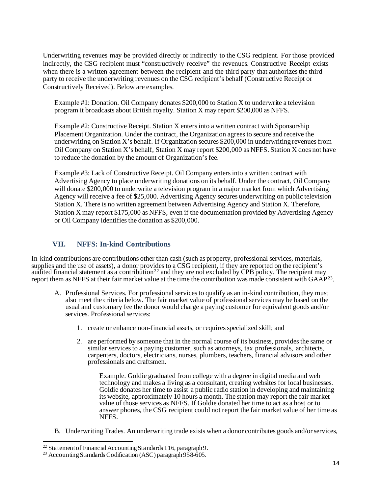Underwriting revenues may be provided directly or indirectly to the CSG recipient. For those provided indirectly, the CSG recipient must "constructively receive" the revenues. Constructive Receipt exists when there is a written agreement between the recipient and the third party that authorizes the third party to receive the underwriting revenues on the CSG recipient's behalf (Constructive Receipt or Constructively Received). Below are examples.

Example #1: Donation. Oil Company donates \$200,000 to Station X to underwrite a television program it broadcasts about British royalty. Station X may report \$200,000 as NFFS.

Example #2: Constructive Receipt. Station X enters into a written contract with Sponsorship Placement Organization. Under the contract, the Organization agrees to secure and receive the underwriting on Station X's behalf. If Organization secures \$200,000 in underwriting revenues from Oil Company on Station X's behalf, Station X may report \$200,000 as NFFS. Station X does not have to reduce the donation by the amount of Organization's fee.

Example #3: Lack of Constructive Receipt. Oil Company enters into a written contract with Advertising Agency to place underwriting donations on its behalf. Under the contract, Oil Company will donate \$200,000 to underwrite a television program in a major market from which Advertising Agency will receive a fee of \$25,000. Advertising Agency secures underwriting on public television Station X. There is no written agreement between Advertising Agency and Station X. Therefore, Station X may report \$175,000 as NFFS, even if the documentation provided by Advertising Agency or Oil Company identifies the donation as \$200,000.

## **VII. NFFS: In-kind Contributions**

In-kind contributions are contributions other than cash (such as property, professional services, materials, supplies and the use of assets), a donor provides to a CSG recipient, if they are reported on the recipient's audited financial statement as a contribution<sup>[22](#page-13-0)</sup> and they are not excluded by CPB policy. The recipient may report them as NFFS at their fair market value at the time the contribution was made consistent with GAAP[23,](#page-13-1)

- A. Professional Services. For professional services to qualify as an in-kind contribution, they must also meet the criteria below. The fair market value of professional services may be based on the usual and customary fee the donor would charge a paying customer for equivalent goods and/or services. Professional services:
	- 1. create or enhance non-financial assets, or requires specialized skill; and
	- 2. are performed by someone that in the normal course of its business, provides the same or similar services to a paying customer, such as attorneys, tax professionals, architects, carpenters, doctors, electricians, nurses, plumbers, teachers, financial advisors and other professionals and craftsmen.

Example. Goldie graduated from college with a degree in digital media and web technology and makes a living as a consultant, creating websites for local businesses. Goldie donates her time to assist a public radio station in developing and maintaining its website, approximately 10 hours a month. The station may report the fair market value of those services as NFFS. If Goldie donated her time to act as a host or to answer phones, the CSG recipient could not report the fair market value of her time as NFFS.

B. Underwriting Trades. An underwriting trade exists when a donor contributes goods and/or services,

<span id="page-13-1"></span><span id="page-13-0"></span><sup>&</sup>lt;sup>22</sup> Statement of Financial Accounting Standards 116, paragraph 9.<br><sup>23</sup> Accounting Standards Codification (ASC) paragraph 958-605.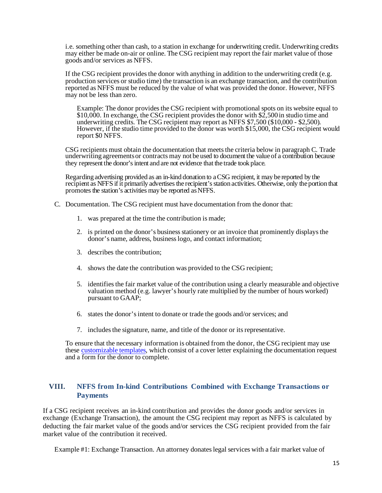i.e. something other than cash, to a station in exchange for underwriting credit. Underwriting credits may either be made on-air or online. The CSG recipient may report the fair market value of those goods and/or services as NFFS.

If the CSG recipient provides the donor with anything in addition to the underwriting credit (e.g. production services or studio time) the transaction is an exchange transaction, and the contribution reported as NFFS must be reduced by the value of what was provided the donor. However, NFFS may not be less than zero.

Example: The donor provides the CSG recipient with promotional spots on its website equal to \$10,000. In exchange, the CSG recipient provides the donor with \$2,500 in studio time and underwriting credits. The CSG recipient may report as NFFS \$7,500 (\$10,000 - \$2,500). However, if the studio time provided to the donor was worth \$15,000, the CSG recipient would report \$0 NFFS.

CSG recipients must obtain the documentation that meets the criteria below in paragraph C. Trade underwriting agreementsor contracts may not be used to document the value of a contribution because they represent the donor's intent and are not evidence that the trade took place.

Regarding advertising provided as an in-kind donation to a CSG recipient, it may be reported by the recipient as NFFS if it primarily advertises the recipient's station activities. Otherwise, only the portion that promotes the station's activities may be reported as NFFS.

- C. Documentation. The CSG recipient must have documentation from the donor that:
	- 1. was prepared at the time the contribution is made;
	- 2. is printed on the donor's business stationery or an invoice that prominently displays the donor's name, address, business logo, and contact information;
	- 3. describes the contribution;
	- 4. shows the date the contribution was provided to the CSG recipient;
	- 5. identifies the fair market value of the contribution using a clearly measurable and objective valuation method (e.g. lawyer's hourly rate multiplied by the number of hours worked) pursuant to GAAP;
	- 6. states the donor's intent to donate or trade the goods and/or services; and
	- 7. includes the signature, name, and title of the donor or its representative.

To ensure that the necessary information is obtained from the donor, the CSG recipient may use these [customizable templates,](https://www.cpb.org/stations/in-kind) which consist of a cover letter explaining the documentation request and a form for the donor to complete.

## **VIII. NFFS from In-kind Contributions Combined with Exchange Transactions or Payments**

If a CSG recipient receives an in-kind contribution and provides the donor goods and/or services in exchange (Exchange Transaction), the amount the CSG recipient may report as NFFS is calculated by deducting the fair market value of the goods and/or services the CSG recipient provided from the fair market value of the contribution it received.

Example #1: Exchange Transaction. An attorney donates legal services with a fair market value of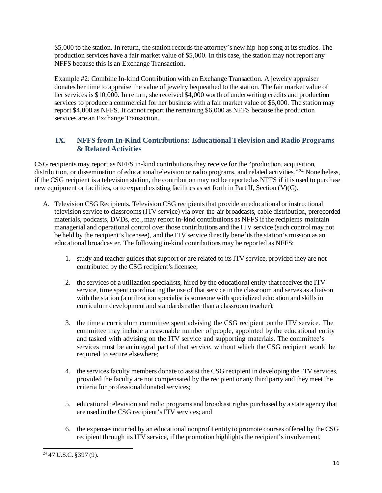\$5,000 to the station. In return, the station records the attorney's new hip-hop song at its studios. The production services have a fair market value of \$5,000. In this case, the station may not report any NFFS because this is an Exchange Transaction.

Example #2: Combine In-kind Contribution with an Exchange Transaction. A jewelry appraiser donates her time to appraise the value of jewelry bequeathed to the station. The fair market value of her services is \$10,000. In return, she received \$4,000 worth of underwriting credits and production services to produce a commercial for her business with a fair market value of \$6,000. The station may report \$4,000 as NFFS. It cannot report the remaining \$6,000 as NFFS because the production services are an Exchange Transaction.

## **IX. NFFS from In-Kind Contributions: Educational Television and Radio Programs & Related Activities**

CSG recipients may report as NFFS in-kind contributions they receive for the "production, acquisition, distribution, or dissemination of educational television or radio programs, and related activities."<sup>[24](#page-15-0)</sup> Nonetheless, if the CSG recipient is a television station, the contribution may not be reported as NFFS if it is used to purchase new equipment or facilities, or to expand existing facilities as set forth in Part II, Section (V)(G).

- A. Television CSG Recipients. Television CSG recipients that provide an educational or instructional television service to classrooms (ITV service) via over-the-air broadcasts, cable distribution, prerecorded materials, podcasts, DVDs, etc., may report in-kind contributions as NFFS if the recipients maintain managerial and operational control over those contributions and the ITV service (such control may not be held by the recipient's licensee), and the ITV service directly benefits the station's mission as an educational broadcaster. The following in-kind contributions may be reported as NFFS:
	- 1. study and teacher guides that support or are related to its ITV service, provided they are not contributed by the CSG recipient's licensee;
	- 2. the services of a utilization specialists, hired by the educational entity that receives the ITV service, time spent coordinating the use of that service in the classroom and serves as a liaison with the station (a utilization specialist is someone with specialized education and skills in curriculum development and standards rather than a classroom teacher);
	- 3. the time a curriculum committee spent advising the CSG recipient on the ITV service. The committee may include a reasonable number of people, appointed by the educational entity and tasked with advising on the ITV service and supporting materials. The committee's services must be an integral part of that service, without which the CSG recipient would be required to secure elsewhere;
	- 4. the services faculty members donate to assist the CSG recipient in developing the ITV services, provided the faculty are not compensated by the recipient or any third party and they meet the criteria for professional donated services;
	- 5. educational television and radio programs and broadcast rights purchased by a state agency that are used in the CSG recipient's ITV services; and
	- 6. the expenses incurred by an educational nonprofit entity to promote courses offered by the CSG recipient through its ITV service, if the promotion highlights the recipient's involvement.

<span id="page-15-0"></span> $24$  47 U.S.C. §397 (9).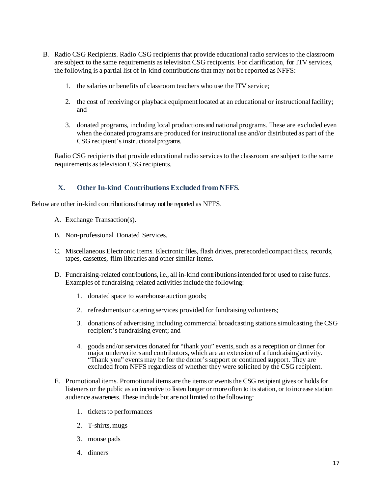- B. Radio CSG Recipients. Radio CSG recipients that provide educational radio services to the classroom are subject to the same requirements as television CSG recipients. For clarification, for ITV services, the following is a partial list of in-kind contributions that may not be reported as NFFS:
	- 1. the salaries or benefits of classroom teachers who use the ITV service;
	- 2. the cost of receiving or playback equipment located at an educational or instructional facility; and
	- 3. donated programs, including local productionsand national programs. These are excluded even when the donated programsare produced for instructional use and/or distributed as part of the CSG recipient's instructionalprograms.

Radio CSG recipients that provide educational radio services to the classroom are subject to the same requirements as television CSG recipients.

## **X. Other In-kind Contributions Excluded from NFFS**.

Below are other in-kind contributions that may not be reported as NFFS.

- A. Exchange Transaction(s).
- B. Non-professional Donated Services.
- C. Miscellaneous Electronic Items. Electronic files, flash drives, prerecorded compact discs, records, tapes, cassettes, film libraries and other similar items.
- D. Fundraising-related contributions, i.e., all in-kind contributionsintended for or used to raise funds. Examples of fundraising-related activities include the following:
	- 1. donated space to warehouse auction goods;
	- 2. refreshmentsor catering services provided for fundraising volunteers;
	- 3. donations of advertising including commercial broadcasting stations simulcasting the CSG recipient's fundraising event; and
	- 4. goods and/or services donated for "thank you" events, such as a reception or dinner for major underwritersand contributors, which are an extension of a fundraising activity. "Thank you" events may be for the donor's support or continued support. They are excluded from NFFS regardless of whether they were solicited by the CSG recipient.
- E. Promotional items. Promotional items are the items or events the CSG recipient gives or holds for listeners or the public as an incentive to listen longer or more often to its station, or to increase station audience awareness. These include but are not limited to the following:
	- 1. tickets to performances
	- 2. T-shirts, mugs
	- 3. mouse pads
	- 4. dinners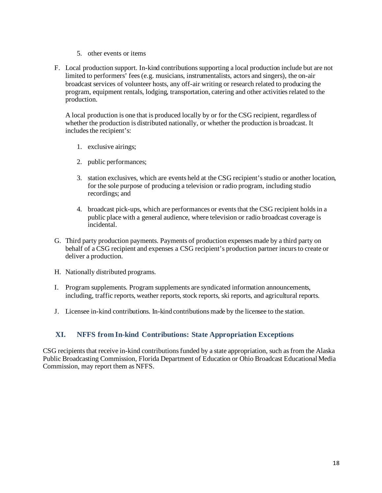- 5. other events or items
- F. Local production support. In-kind contributions supporting a local production include but are not limited to performers' fees (e.g. musicians, instrumentalists, actors and singers), the on-air broadcast services of volunteer hosts, any off-air writing or research related to producing the program, equipment rentals, lodging, transportation, catering and other activities related to the production.

A local production is one that is produced locally by or for the CSG recipient, regardless of whether the production is distributed nationally, or whether the production is broadcast. It includes the recipient's:

- 1. exclusive airings;
- 2. public performances;
- 3. station exclusives, which are events held at the CSG recipient's studio or another location, for the sole purpose of producing a television or radio program, including studio recordings; and
- 4. broadcast pick-ups, which are performances or events that the CSG recipient holds in a public place with a general audience, where television or radio broadcast coverage is incidental.
- G. Third party production payments. Payments of production expenses made by a third party on behalf of a CSG recipient and expenses a CSG recipient's production partner incurs to create or deliver a production.
- H. Nationally distributed programs.
- I. Program supplements. Program supplements are syndicated information announcements, including, traffic reports, weather reports, stock reports, ski reports, and agricultural reports.
- J. Licensee in-kind contributions. In-kind contributions made by the licensee to the station.

## **XI. NFFS from In-kind Contributions: State Appropriation Exceptions**

CSG recipients that receive in-kind contributions funded by a state appropriation, such as from the Alaska Public Broadcasting Commission, Florida Department of Education or Ohio Broadcast Educational Media Commission, may report them as NFFS.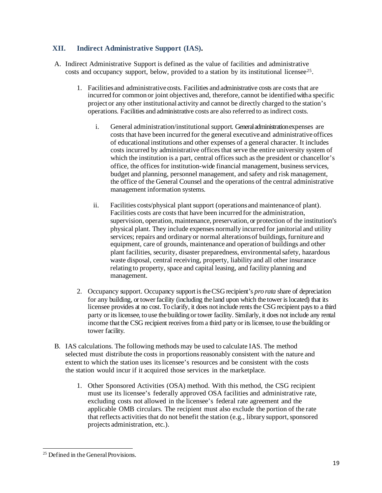## **XII. Indirect Administrative Support (IAS).**

- A. Indirect Administrative Support is defined as the value of facilities and administrative costs and occupancy support, below, provided to a station by its institutional licensee<sup>[25](#page-18-0)</sup>.
	- 1. Facilitiesand administrative costs. Facilities and administrative costs are coststhat are incurred for common or joint objectives and, therefore, cannot be identified with a specific project or any other institutional activity and cannot be directly charged to the station's operations. Facilities and administrative costs are also referred to asindirect costs.
		- i. General administration/institutional support. General administration expenses are costs that have been incurred for the general executive and administrative offices of educational institutions and other expenses of a general character. It includes costs incurred by administrative offices that serve the entire university system of which the institution is a part, central offices such as the president or chancellor's office, the offices for institution-wide financial management, business services, budget and planning, personnel management, and safety and risk management, the office of the General Counsel and the operations of the central administrative management information systems.
		- ii. Facilities costs/physical plant support (operations and maintenance of plant). Facilities costs are costs that have been incurred for the administration, supervision, operation, maintenance, preservation, or protection of the institution's physical plant. They include expenses normally incurred for janitorial and utility services; repairs and ordinary or normal alterationsof buildings, furniture and equipment, care of grounds, maintenance and operation of buildings and other plant facilities, security, disaster preparedness, environmental safety, hazardous waste disposal, central receiving, property, liability and all other insurance relating to property, space and capital leasing, and facility planning and management.
	- 2. Occupancy support. Occupancy support is the CSG recipient's *pro rata* share of depreciation for any building, or tower facility (including the land upon which the tower is located) that its licensee provides at no cost. To clarify, it does not include rents the CSG recipient pays to a third party or its licensee, to use the building or tower facility. Similarly, it does not include any rental income that the CSG recipient receives from a third party or its licensee, to use the building or tower facility.
- B. IAS calculations. The following methods may be used to calculate IAS. The method selected must distribute the costs in proportions reasonably consistent with the nature and extent to which the station uses its licensee's resources and be consistent with the costs the station would incur if it acquired those services in the marketplace.
	- 1. Other Sponsored Activities (OSA) method. With this method, the CSG recipient must use its licensee's federally approved OSA facilities and administrative rate, excluding costs not allowed in the licensee's federal rate agreement and the applicable OMB circulars. The recipient must also exclude the portion of the rate that reflects activities that do not benefit the station (e.g., library support, sponsored projects administration, etc.).

<span id="page-18-0"></span><sup>&</sup>lt;sup>25</sup> Defined in the General Provisions.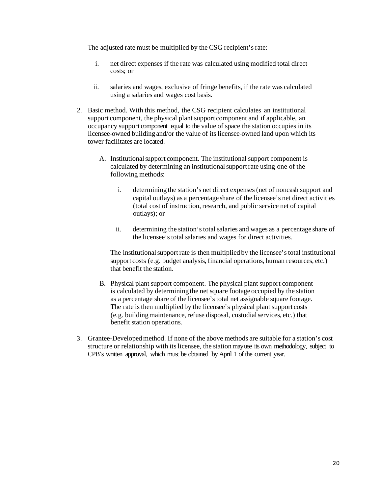The adjusted rate must be multiplied by the CSG recipient's rate:

- i. net direct expenses if the rate was calculated using modified total direct costs; or
- ii. salaries and wages, exclusive of fringe benefits, if the rate was calculated using a salaries and wages cost basis.
- 2. Basic method. With this method, the CSG recipient calculates an institutional support component, the physical plant support component and if applicable, an occupancy support component equal to the value of space the station occupies in its licensee-owned building and/or the value of its licensee-owned land upon which its tower facilitates are located.
	- A. Institutional support component. The institutional support component is calculated by determining an institutionalsupportrate using one of the following methods:
		- i. determining the station's net direct expenses(net of noncash support and capital outlays) as a percentage share of the licensee's net direct activities (total cost of instruction, research, and public service net of capital outlays); or
		- ii. determining the station'stotal salaries and wages as a percentage share of the licensee'stotal salaries and wages for direct activities.

The institutional support rate is then multiplied by the licensee's total institutional support costs (e.g. budget analysis, financial operations, human resources, etc.) that benefit the station.

- B. Physical plant support component. The physical plant support component is calculated by determining the net square footage occupied by the station as a percentage share of the licensee'stotal net assignable square footage. The rate is then multiplied by the licensee's physical plant support costs (e.g. buildingmaintenance, refuse disposal, custodialservices, etc.) that benefit station operations.
- 3. Grantee-Developedmethod. If none of the above methods are suitable for a station's cost structure or relationship with itslicensee, the stationmay use its own methodology, subject to CPB's written approval, which must be obtained by April 1 of the current year.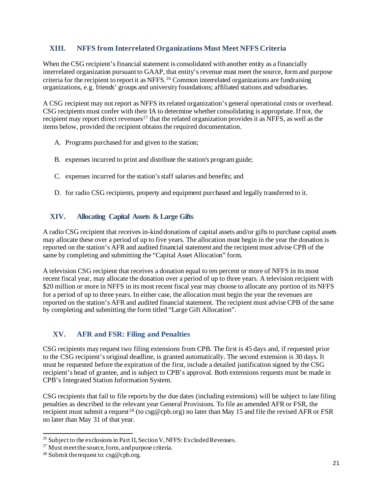## **XIII. NFFS from Interrelated Organizations Must Meet NFFS Criteria**

When the CSG recipient's financial statement is consolidated with another entity as a financially interrelated organization pursuant to GAAP, that entity's revenue must meet the source, form and purpose criteria for the recipient to report it as NFFS.[26](#page-20-0) Common interrelated organizations are fundraising organizations, e.g. friends' groups and university foundations; affiliated stations and subsidiaries.

A CSG recipient may not report as NFFS its related organization's general operational costs or overhead. CSG recipients must confer with their IA to determine whether consolidating is appropriate. If not, the recipient may report direct revenues<sup>[27](#page-20-1)</sup> that the related organization provides it as NFFS, as well as the items below, provided the recipient obtains the required documentation.

- A. Programs purchased for and given to the station;
- B. expenses incurred to print and distribute the station's program guide;
- C. expenses incurred for the station's staff salaries and benefits; and
- D. for radio CSG recipients, property and equipment purchased and legally transferred to it.

## **XIV. Allocating Capital Assets & Large Gifts**

A radio CSG recipient that receives in-kind donations of capital assets and/or gifts to purchase capital assets may allocate these over a period of up to five years. The allocation must begin in the year the donation is reported on the station's AFR and audited financial statement and the recipient must advise CPB of the same by completing and submitting the "Capital Asset Allocation" form.

A television CSG recipient that receives a donation equal to ten percent or more of NFFS in its most recent fiscal year, may allocate the donation over a period of up to three years. A television recipient with \$20 million or more in NFFS in its most recent fiscal year may choose to allocate any portion of its NFFS for a period of up to three years. In either case, the allocation must begin the year the revenues are reported on the station's AFR and audited financial statement. The recipient must advise CPB of the same by completing and submitting the form titled "Large Gift Allocation".

## **XV. AFR and FSR: Filing and Penalties**

CSG recipients may request two filing extensions from CPB. The first is 45 days and, if requested prior to the CSG recipient's original deadline, is granted automatically. The second extension is 30 days. It must be requested before the expiration of the first, include a detailed justification signed by the CSG recipient's head of grantee, and is subject to CPB's approval. Both extensions requests must be made in CPB's Integrated Station Information System.

CSG recipients that fail to file reports by the due dates (including extensions) will be subject to late filing penalties as described in the relevant year General Provisions. To file an amended AFR or FSR, the recipient must submit a request<sup>[28](#page-20-2)</sup> (to csg@cpb.org) no later than May 15 and file the revised AFR or FSR no later than May 31 of that year.

<span id="page-20-0"></span> $^{26}$  Subject to the exclusions in Part II, Section V, NFFS: Excluded Revenues.

<span id="page-20-1"></span> $27$  Must meet the source, form, and purpose criteria.

<span id="page-20-2"></span><sup>28</sup> Submit the request to: csg@cpb.org.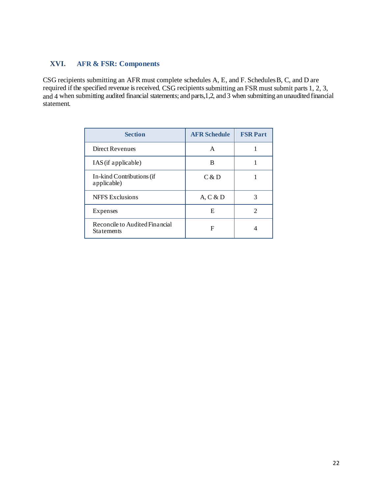## **XVI. AFR & FSR: Components**

CSG recipients submitting an AFR must complete schedules A, E, and F. SchedulesB, C, and D are required if the specified revenue is received. CSG recipients submitting an FSR must submit parts 1, 2, 3, and 4 when submitting audited financial statements; and parts,1,2, and 3 when submitting an unaudited financial statement.

| <b>Section</b>                                      | <b>AFR Schedule</b> | <b>FSR Part</b> |
|-----------------------------------------------------|---------------------|-----------------|
| <b>Direct Revenues</b>                              | A                   |                 |
| IAS (if applicable)                                 | B                   |                 |
| In-kind Contributions (if<br>applicable)            | C & D               |                 |
| <b>NFFS</b> Exclusions                              | A, C & D            | 3               |
| Expenses                                            | E                   | $\mathcal{D}$   |
| Reconcile to Audited Financial<br><b>Statements</b> | F                   |                 |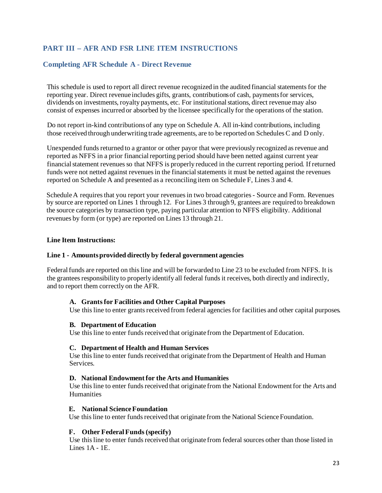## **PART III – AFR AND FSR LINE ITEM INSTRUCTIONS**

#### **Completing AFR Schedule A - Direct Revenue**

This schedule is used to report all direct revenue recognized in the audited financial statementsfor the reporting year. Direct revenue includes gifts, grants, contributionsof cash, paymentsfor services, dividends on investments, royalty payments, etc. For institutional stations, direct revenue may also consist of expenses incurred or absorbed by the licensee specifically for the operations of the station.

Do not report in-kind contributionsof any type on Schedule A. All in-kind contributions, including those received through underwriting trade agreements, are to be reported on Schedules C and D only.

Unexpended funds returned to a grantor or other payor that were previously recognized as revenue and reported as NFFS in a prior financial reporting period should have been netted against current year financial statement revenues so that NFFS is properly reduced in the current reporting period. If returned funds were not netted against revenues in the financial statements it must be netted against the revenues reported on Schedule A and presented as a reconciling item on Schedule F, Lines 3 and 4.

Schedule A requires that you report your revenues in two broad categories - Source and Form. Revenues by source are reported on Lines 1 through 12. For Lines 3 through 9, grantees are required to breakdown the source categories by transaction type, paying particular attention to NFFS eligibility. Additional revenues by form (or type) are reported on Lines 13 through 21.

#### **Line Item Instructions:**

#### **Line 1 - Amountsprovided directly by federal government agencies**

Federal funds are reported on this line and will be forwarded to Line 23 to be excluded from NFFS. It is the grantees responsibility to properly identify all federal funds it receives, both directly and indirectly, and to report them correctly on the AFR.

#### **A. Grants for Facilities and Other Capital Purposes**

Use this line to enter grants received from federal agencies for facilities and other capital purposes.

#### **B. Department of Education**

Use this line to enter funds received that originate from the Department of Education.

#### **C. Department of Health and Human Services**

Use this line to enter funds received that originate from the Department of Health and Human Services.

#### **D. National Endowment for the Arts and Humanities**

Use this line to enter funds received that originate from the National Endowment for the Arts and Humanities

#### **E. National ScienceFoundation**

Use this line to enter funds received that originate from the National Science Foundation.

#### **F. Other FederalFunds(specify)**

Use this line to enter fundsreceived that originate from federal sources other than those listed in Lines  $1A - 1E$ .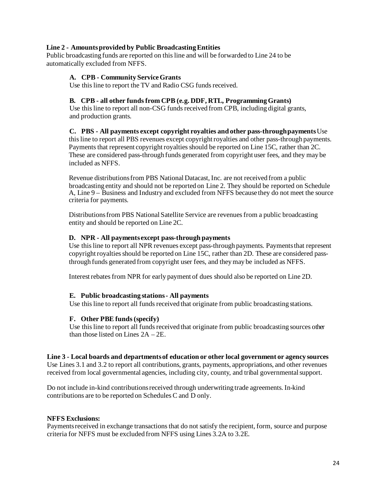#### **Line 2 - Amountsprovided by Public BroadcastingEntities**

Public broadcasting funds are reported on thisline and will be forwarded to Line 24 to be automatically excluded from NFFS.

#### **A. CPB - Community ServiceGrants**

Use this line to report the TV and Radio CSG funds received.

#### **B. CPB - all other fundsfrom CPB (e.g. DDF, RTL, ProgrammingGrants)**

Use this line to report all non-CSG funds received from CPB, including digital grants, and production grants.

**C. PBS - All payments except copyright royalties and other pass-throughpayments**Use this line to report all PBS revenues except copyrightroyalties and other pass-through payments. Payments that represent copyright royalties should be reported on Line 15C, rather than 2C. These are considered pass-through funds generated from copyright user fees, and they may be included as NFFS.

Revenue distributionsfrom PBS National Datacast, Inc. are not received from a public broadcasting entity and should not be reported on Line 2. They should be reported on Schedule A, Line 9 – Business and Industry and excluded from NFFS because they do not meet the source criteria for payments.

Distributions from PBS National Satellite Service are revenues from a public broadcasting entity and should be reported on Line 2C.

#### **D. NPR - All paymentsexcept pass-through payments**

Use this line to report all NPR revenues except pass-through payments. Payments that represent copyright royalties should be reported on Line 15C, rather than 2D. These are considered passthrough funds generated from copyright user fees, and theymay be included as NFFS.

Interestrebatesfrom NPR for early payment of dues should also be reported on Line 2D.

#### **E. Public broadcasting stations- All payments**

Use this line to report all funds received that originate from public broadcasting stations.

#### **F. Other PBE funds(specify)**

Use this line to report all funds received that originate from public broadcasting sources other than those listed on Lines  $2A - 2E$ .

#### **Line 3 - Local boards and departmentsof education or other local government or agency sources**

Use Lines 3.1 and 3.2 to report all contributions, grants, payments, appropriations, and other revenues received from local governmental agencies, including city, county, and tribal governmental support.

Do not include in-kind contributionsreceived through underwriting trade agreements. In-kind contributions are to be reported on Schedules C and D only.

#### **NFFS Exclusions:**

Payments received in exchange transactions that do not satisfy the recipient, form, source and purpose criteria for NFFS must be excluded from NFFS using Lines 3.2A to 3.2E.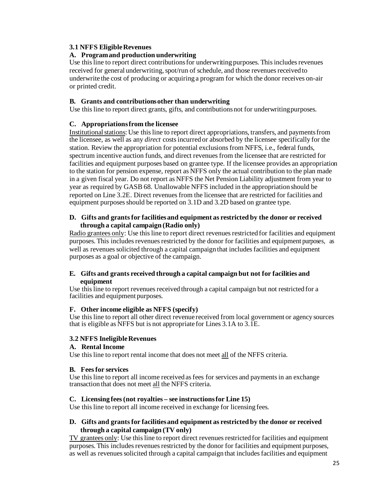#### **3.1 NFFS EligibleRevenues**

#### **A. Programand production underwriting**

Use this line to report direct contributions for underwriting purposes. This includes revenues received for general underwriting, spot/run of schedule, and those revenues received to underwrite the cost of producing or acquiring a program for which the donor receives on-air or printed credit.

#### **B. Grants and contributionsother than underwriting**

Use this line to report direct grants, gifts, and contributionsnot for underwritingpurposes.

#### **C. Appropriationsfrom the licensee**

Institutionalstations: Use thisline to report direct appropriations, transfers, and paymentsfrom the licensee, as well as any *direct* costsincurred or absorbed by the licensee specifically for the station. Review the appropriation for potential exclusions from NFFS, i.e., federal funds, spectrum incentive auction funds, and direct revenues from the licensee that are restricted for facilities and equipment purposes based on grantee type. If the licensee provides an appropriation to the station for pension expense, report as NFFS only the actual contribution to the plan made in a given fiscal year. Do not report as NFFS the Net Pension Liability adjustment from year to year as required by GASB 68. Unallowable NFFS included in the appropriation should be reported on Line 3.2E. Direct revenues from the licensee that are restricted for facilities and equipment purposes should be reported on 3.1D and 3.2D based on grantee type.

#### **D. Gifts and grantsfor facilitiesand equipment as restricted by the donor or received through a capital campaign (Radio only)**

Radio grantees only: Use this line to report direct revenues restricted for facilities and equipment purposes. This includes revenues restricted by the donor for facilities and equipment purposes, as well as revenues solicited through a capital campaign that includes facilities and equipment purposes as a goal or objective of the campaign.

#### **E. Gifts and grants received through a capital campaign but not for facilities and equipment**

Use this line to report revenues received through a capital campaign but not restricted for a facilities and equipment purposes.

#### **F. Other income eligible as NFFS (specify)**

Use this line to report all other direct revenue received from local government or agency sources that is eligible as NFFS but is not appropriate for Lines 3.1A to 3.1E.

## **3.2 NFFS IneligibleRevenues**

#### **A. Rental Income**

Use this line to report rental income that does not meet all of the NFFS criteria.

#### **B. Feesfor services**

Use this line to report all income received as fees for services and payments in an exchange transaction that does not meet all the NFFS criteria.

#### **C. Licensing fees(not royalties – see instructionsfor Line 15)**

Use this line to report all income received in exchange for licensing fees.

#### **D. Gifts and grantsfor facilitiesand equipment as restricted by the donor or received through a capital campaign (TV only)**

TV grantees only: Use this line to report direct revenues restricted for facilities and equipment purposes. This includes revenues restricted by the donor for facilities and equipment purposes, as well as revenuessolicited through a capital campaign that includesfacilities and equipment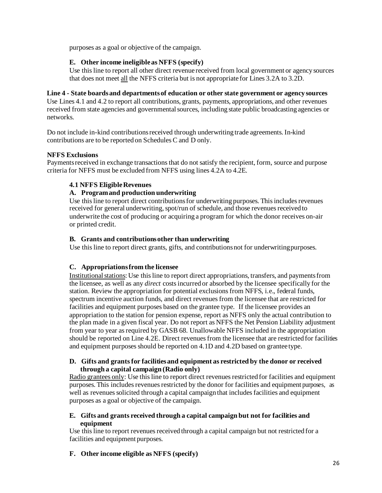purposes as a goal or objective of the campaign.

## **E. Other income ineligible as NFFS (specify)**

Use this line to report all other direct revenue received from local government or agency sources that does not meet all the NFFS criteria but is not appropriate for Lines 3.2A to 3.2D.

#### **Line 4 - State boardsand departmentsof education or other state government or agency sources**

Use Lines 4.1 and 4.2 to report all contributions, grants, payments, appropriations, and other revenues received from state agencies and governmental sources, including state public broadcasting agencies or networks.

Do not include in-kind contributionsreceived through underwriting trade agreements. In-kind contributions are to be reported on Schedules C and D only.

## **NFFS Exclusions**

Payments received in exchange transactions that do not satisfy the recipient, form, source and purpose criteria for NFFS must be excluded from NFFS using lines 4.2A to 4.2E.

## **4.1 NFFS EligibleRevenues**

## **A. Programand production underwriting**

Use this line to report direct contributions for underwriting purposes. This includes revenues received for general underwriting, spot/run of schedule, and those revenues received to underwrite the cost of producing or acquiring a program for which the donor receives on-air or printed credit.

## **B. Grants and contributionsother than underwriting**

Use this line to report direct grants, gifts, and contributionsnot for underwritingpurposes.

## **C. Appropriationsfrom the licensee**

Institutionalstations: Use thisline to report direct appropriations, transfers, and paymentsfrom the licensee, as well as any *direct* costsincurred or absorbed by the licensee specifically for the station. Review the appropriation for potential exclusions from NFFS, i.e., federal funds, spectrum incentive auction funds, and direct revenues from the licensee that are restricted for facilities and equipment purposes based on the grantee type. If the licensee provides an appropriation to the station for pension expense, report as NFFS only the actual contribution to the plan made in a given fiscal year. Do not report as NFFS the Net Pension Liability adjustment from year to year as required by GASB 68. Unallowable NFFS included in the appropriation should be reported on Line 4.2E. Direct revenuesfrom the licensee that are restricted for facilities and equipment purposes should be reported on 4.1D and 4.2D based on grantee type.

#### **D. Gifts and grantsfor facilitiesand equipment as restricted by the donor or received through a capital campaign (Radio only)**

Radio grantees only: Use this line to report direct revenues restricted for facilities and equipment purposes. This includes revenues restricted by the donor for facilities and equipment purposes, as well as revenues solicited through a capital campaign that includes facilities and equipment purposes as a goal or objective of the campaign.

#### **E. Gifts and grants received through a capital campaign but not for facilities and equipment**

Use this line to report revenues received through a capital campaign but not restricted for a facilities and equipment purposes.

## **F. Other income eligible as NFFS (specify)**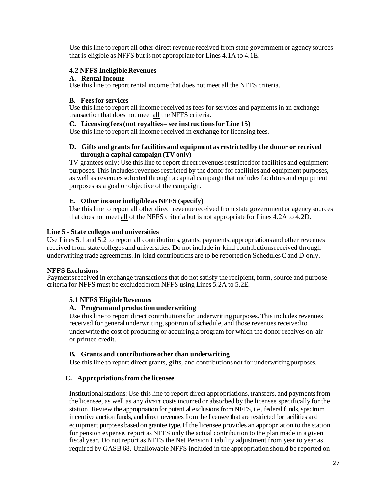Use this line to report all other direct revenue received from state government or agency sources that is eligible as NFFS but is not appropriate for Lines 4.1A to 4.1E.

#### **4.2 NFFS IneligibleRevenues**

#### **A. Rental Income**

Use this line to report rental income that does not meet all the NFFS criteria.

#### **B. Feesfor services**

Use this line to report all income received as fees for services and payments in an exchange transaction that does not meet all the NFFS criteria.

#### **C. Licensing fees(not royalties– see instructionsfor Line 15)**

Use this line to report all income received in exchange for licensing fees.

#### **D. Gifts and grantsfor facilitiesand equipment as restricted by the donor or received through a capital campaign (TV only)**

TV grantees only: Use this line to report direct revenuesrestricted for facilities and equipment purposes. This includes revenues restricted by the donor for facilities and equipment purposes, as well as revenues solicited through a capital campaign that includes facilities and equipment purposes as a goal or objective of the campaign.

## **E. Other income ineligible as NFFS (specify)**

Use this line to report all other direct revenue received from state government or agency sources that does not meet all of the NFFS criteria but is not appropriate for Lines 4.2A to 4.2D.

## **Line 5 - State colleges and universities**

Use Lines 5.1 and 5.2 to report all contributions, grants, payments, appropriationsand other revenues received from state colleges and universities. Do not include in-kind contributionsreceived through underwriting trade agreements. In-kind contributions are to be reported on SchedulesC and D only.

## **NFFS Exclusions**

Payments received in exchange transactions that do not satisfy the recipient, form, source and purpose criteria for NFFS must be excluded from NFFS using Lines 5.2A to 5.2E.

## **5.1 NFFS EligibleRevenues**

## **A. Programand production underwriting**

Use this line to report direct contributions for underwriting purposes. This includes revenues received for general underwriting, spot/run of schedule, and those revenues received to underwrite the cost of producing or acquiring a program for which the donor receives on-air or printed credit.

## **B. Grants and contributionsother than underwriting**

Use this line to report direct grants, gifts, and contributionsnot for underwritingpurposes.

## **C. Appropriationsfrom the licensee**

Institutionalstations: Use thisline to report direct appropriations, transfers, and paymentsfrom the licensee, as well as any *direct* costsincurred or absorbed by the licensee specifically for the station. Review the appropriation for potential exclusions from NFFS, i.e., federal funds, spectrum incentive auction funds, and direct revenues from the licensee that are restricted for facilities and equipment purposes based on grantee type. If the licensee provides an appropriation to the station for pension expense, report as NFFS only the actual contribution to the plan made in a given fiscal year. Do not report as NFFS the Net Pension Liability adjustment from year to year as required by GASB 68. Unallowable NFFS included in the appropriation should be reported on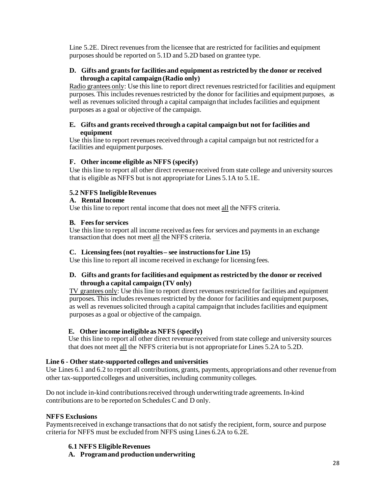Line 5.2E. Direct revenues from the licensee that are restricted for facilities and equipment purposes should be reported on 5.1D and 5.2D based on grantee type.

#### **D. Gifts and grantsfor facilitiesand equipment as restricted by the donor or received through a capital campaign (Radio only)**

Radio grantees only: Use this line to report direct revenues restricted for facilities and equipment purposes. This includes revenues restricted by the donor for facilities and equipment purposes, as well as revenues solicited through a capital campaign that includes facilities and equipment purposes as a goal or objective of the campaign.

#### **E. Gifts and grants received through a capital campaign but not for facilities and equipment**

Use this line to report revenues received through a capital campaign but not restricted for a facilities and equipment purposes.

#### **F. Other income eligible as NFFS (specify)**

Use this line to report all other direct revenue received from state college and university sources that is eligible as NFFS but is not appropriate for Lines 5.1A to 5.1E.

#### **5.2 NFFS IneligibleRevenues**

#### **A. Rental Income**

Use this line to report rental income that does not meet all the NFFS criteria.

#### **B. Feesfor services**

Use this line to report all income received as fees for services and payments in an exchange transaction that does not meet all the NFFS criteria.

#### **C. Licensing fees(not royalties– see instructionsfor Line 15)**

Use this line to report all income received in exchange for licensing fees.

#### **D. Gifts and grantsfor facilitiesand equipment as restricted by the donor or received through a capital campaign (TV only)**

TV grantees only: Use this line to report direct revenuesrestricted for facilities and equipment purposes. This includes revenues restricted by the donor for facilities and equipment purposes, as well as revenues solicited through a capital campaign that includes facilities and equipment purposes as a goal or objective of the campaign.

#### **E. Other income ineligible as NFFS (specify)**

Use this line to report all other direct revenue received from state college and university sources that does not meet all the NFFS criteria but is not appropriate for Lines 5.2A to 5.2D.

#### **Line 6 - Other state-supported colleges and universities**

Use Lines 6.1 and 6.2 to report all contributions, grants, payments, appropriationsand other revenue from other tax-supported colleges and universities, including community colleges.

Do not include in-kind contributionsreceived through underwriting trade agreements. In-kind contributions are to be reported on Schedules C and D only.

#### **NFFS Exclusions**

Payments received in exchange transactions that do not satisfy the recipient, form, source and purpose criteria for NFFS must be excluded from NFFS using Lines 6.2A to 6.2E.

#### **6.1 NFFS EligibleRevenues**

**A. Programand production underwriting**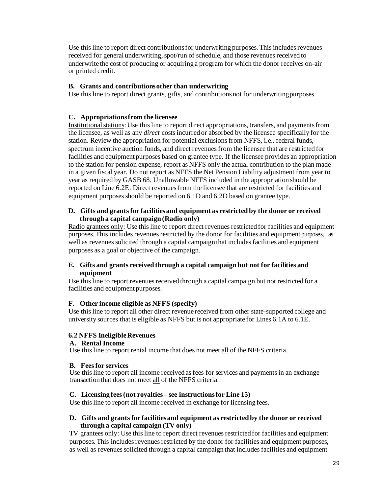Use this line to report direct contributions for underwriting purposes. This includes revenues received for general underwriting, spot/run of schedule, and those revenues received to underwrite the cost of producing or acquiring a program for which the donor receives on-air or printed credit.

#### **B. Grants and contributionsother than underwriting**

Use this line to report direct grants, gifts, and contributionsnot for underwritingpurposes.

#### **C. Appropriationsfrom the licensee**

Institutionalstations: Use thisline to report direct appropriations, transfers, and paymentsfrom the licensee, as well as any *direct* costsincurred or absorbed by the licensee specifically for the station. Review the appropriation for potential exclusions from NFFS, i.e., federal funds, spectrum incentive auction funds, and direct revenuesfrom the licensee that are restricted for facilities and equipment purposes based on grantee type. If the licensee provides an appropriation to the station for pension expense, report as NFFS only the actual contribution to the plan made in a given fiscal year. Do not report as NFFS the Net Pension Liability adjustment from year to year as required by GASB 68. Unallowable NFFS included in the appropriation should be reported on Line 6.2E. Direct revenues from the licensee that are restricted for facilities and equipment purposes should be reported on 6.1D and 6.2D based on grantee type.

#### **D. Gifts and grantsfor facilitiesand equipment as restricted by the donor or received through a capital campaign (Radio only)**

Radio grantees only: Use this line to report direct revenues restricted for facilities and equipment purposes. This includes revenues restricted by the donor for facilities and equipment purposes, as well as revenues solicited through a capital campaign that includes facilities and equipment purposes as a goal or objective of the campaign.

#### **E. Gifts and grants received through a capital campaign but not for facilities and equipment**

Use this line to report revenues received through a capital campaign but not restricted for a facilities and equipment purposes.

#### **F. Other income eligible as NFFS (specify)**

Use this line to report all other direct revenue received from other state-supported college and university sources that is eligible as NFFS but is not appropriate for Lines 6.1A to 6.1E.

#### **6.2 NFFS IneligibleRevenues**

#### **A. Rental Income**

Use this line to report rental income that does not meet all of the NFFS criteria.

#### **B. Feesfor services**

Use this line to report all income received as fees for services and payments in an exchange transaction that does not meet all of the NFFS criteria.

#### **C. Licensing fees(not royalties– see instructionsfor Line 15)**

Use this line to report all income received in exchange for licensing fees.

#### **D. Gifts and grantsfor facilitiesand equipment as restricted by the donor or received through a capital campaign (TV only)**

TV grantees only: Use this line to report direct revenues restricted for facilities and equipment purposes. This includes revenues restricted by the donor for facilities and equipment purposes, as well as revenues solicited through a capital campaign that includes facilities and equipment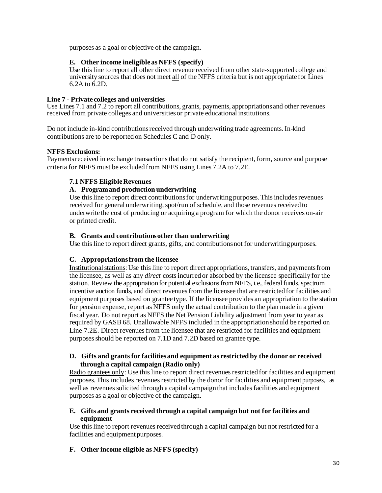purposes as a goal or objective of the campaign.

## **E. Other income ineligible as NFFS (specify)**

Use this line to report all other direct revenue received from other state-supported college and university sources that does not meet all of the NFFS criteria but is not appropriate for Lines 6.2A to 6.2D.

#### **Line 7 - Private colleges and universities**

Use Lines 7.1 and 7.2 to report all contributions, grants, payments, appropriations and other revenues received from private colleges and universitiesor private educational institutions.

Do not include in-kind contributionsreceived through underwriting trade agreements. In-kind contributions are to be reported on Schedules C and D only.

#### **NFFS Exclusions:**

Paymentsreceived in exchange transactionsthat do not satisfy the recipient, form, source and purpose criteria for NFFS must be excluded from NFFS using Lines 7.2A to 7.2E.

#### **7.1 NFFS EligibleRevenues**

#### **A. Programand production underwriting**

Use this line to report direct contributions for underwriting purposes. This includes revenues received for general underwriting, spot/run of schedule, and those revenues received to underwrite the cost of producing or acquiring a program for which the donor receives on-air or printed credit.

#### **B. Grants and contributionsother than underwriting**

Use this line to report direct grants, gifts, and contributionsnot for underwritingpurposes.

#### **C. Appropriationsfrom the licensee**

Institutionalstations: Use thisline to report direct appropriations, transfers, and paymentsfrom the licensee, as well as any *direct* costsincurred or absorbed by the licensee specifically for the station. Review the appropriation for potential exclusions from NFFS, i.e., federal funds, spectrum incentive auction funds, and direct revenues from the licensee that are restricted for facilities and equipment purposes based on grantee type. If the licensee provides an appropriation to the station for pension expense, report as NFFS only the actual contribution to the plan made in a given fiscal year. Do not report as NFFS the Net Pension Liability adjustment from year to year as required by GASB 68. Unallowable NFFS included in the appropriation should be reported on Line 7.2E. Direct revenues from the licensee that are restricted for facilities and equipment purposes should be reported on 7.1D and 7.2D based on grantee type.

#### **D. Gifts and grantsfor facilitiesand equipment as restricted by the donor or received through a capital campaign (Radio only)**

Radio grantees only: Use this line to report direct revenues restricted for facilities and equipment purposes. This includes revenues restricted by the donor for facilities and equipment purposes, as well as revenues solicited through a capital campaign that includes facilities and equipment purposes as a goal or objective of the campaign.

## **E. Gifts and grants received through a capital campaign but not for facilities and equipment**

Use this line to report revenues received through a capital campaign but not restricted for a facilities and equipment purposes.

**F. Other income eligible as NFFS (specify)**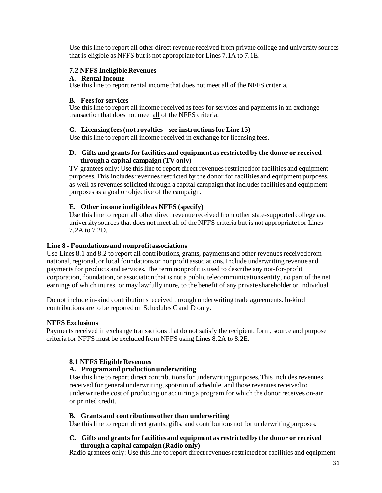Use this line to report all other direct revenue received from private college and university sources that is eligible as NFFS but is not appropriate for Lines 7.1A to 7.1E.

#### **7.2 NFFS IneligibleRevenues**

#### **A. Rental Income**

Use this line to report rental income that does not meet all of the NFFS criteria.

#### **B. Feesfor services**

Use this line to report all income received as fees for services and payments in an exchange transaction that does not meet all of the NFFS criteria.

#### **C. Licensing fees(not royalties– see instructionsfor Line 15)**

Use this line to report all income received in exchange for licensing fees.

#### **D. Gifts and grantsfor facilitiesand equipment as restricted by the donor or received through a capital campaign (TV only)**

TV grantees only: Use this line to report direct revenuesrestricted for facilities and equipment purposes. This includes revenues restricted by the donor for facilities and equipment purposes, as well as revenues solicited through a capital campaign that includes facilities and equipment purposes as a goal or objective of the campaign.

#### **E. Other income ineligible as NFFS (specify)**

Use this line to report all other direct revenue received from other state-supported college and university sources that does not meet all of the NFFS criteria but is not appropriate for Lines 7.2A to 7.2D.

#### **Line 8 - Foundationsand nonprofitassociations**

Use Lines 8.1 and 8.2 to report all contributions, grants, payments and other revenues received from national, regional, or local foundationsor nonprofit associations. Include underwriting revenue and payments for products and services. The term nonprofit is used to describe any not-for-profit corporation, foundation, or association that is not a public telecommunicationsentity, no part of the net earnings of which inures, or may lawfully inure, to the benefit of any private shareholder or individual.

Do not include in-kind contributionsreceived through underwriting trade agreements. In-kind contributions are to be reported on Schedules C and D only.

#### **NFFS Exclusions**

Payments received in exchange transactions that do not satisfy the recipient, form, source and purpose criteria for NFFS must be excluded from NFFS using Lines 8.2A to 8.2E.

#### **8.1 NFFS EligibleRevenues**

#### **A. Programand production underwriting**

Use this line to report direct contributions for underwriting purposes. This includes revenues received for general underwriting, spot/run of schedule, and those revenues received to underwrite the cost of producing or acquiring a program for which the donor receives on-air or printed credit.

#### **B. Grants and contributionsother than underwriting**

Use this line to report direct grants, gifts, and contributionsnot for underwritingpurposes.

#### **C. Gifts and grantsfor facilitiesand equipment as restricted by the donor or received through a capital campaign (Radio only)**

Radio grantees only: Use this line to report direct revenues restricted for facilities and equipment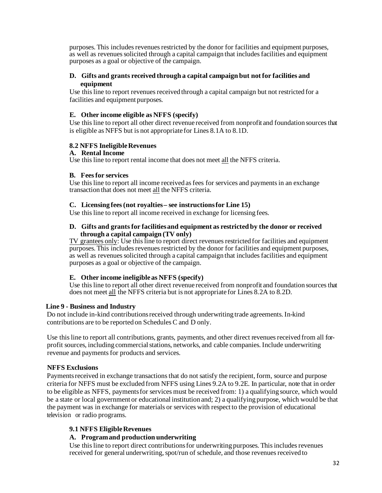purposes. This includes revenues restricted by the donor for facilities and equipment purposes, as well as revenues solicited through a capital campaign that includes facilities and equipment purposes as a goal or objective of the campaign.

#### **D. Gifts and grants received through a capital campaign but not for facilities and equipment**

Use this line to report revenues received through a capital campaign but not restricted for a facilities and equipment purposes.

#### **E. Other income eligible as NFFS (specify)**

Use this line to report all other direct revenue received from nonprofit and foundation sources that is eligible as NFFS but is not appropriate for Lines 8.1A to 8.1D.

#### **8.2 NFFS IneligibleRevenues**

#### **A. Rental Income**

Use this line to report rental income that does not meet all the NFFS criteria.

#### **B. Feesfor services**

Use this line to report all income received as fees for services and payments in an exchange transaction that does not meet all the NFFS criteria.

#### **C. Licensing fees(not royalties– see instructionsfor Line 15)**

Use this line to report all income received in exchange for licensing fees.

#### **D. Gifts and grantsfor facilitiesand equipment as restricted by the donor or received through a capital campaign (TV only)**

TV grantees only: Use this line to report direct revenues restricted for facilities and equipment purposes. This includes revenues restricted by the donor for facilities and equipment purposes, as well as revenues solicited through a capital campaign that includes facilities and equipment purposes as a goal or objective of the campaign.

#### **E. Other income ineligible as NFFS (specify)**

Use this line to report all other direct revenue received from nonprofit and foundation sources that does not meet all the NFFS criteria but is not appropriate for Lines 8.2A to 8.2D.

#### **Line 9 - Business and Industry**

Do not include in-kind contributionsreceived through underwriting trade agreements. In-kind contributions are to be reported on Schedules C and D only.

Use this line to report all contributions, grants, payments, and other direct revenues received from all forprofit sources, including commercial stations, networks, and cable companies. Include underwriting revenue and payments for products and services.

#### **NFFS Exclusions**

Payments received in exchange transactions that do not satisfy the recipient, form, source and purpose criteria for NFFS must be excluded from NFFS using Lines 9.2A to 9.2E. In particular, note that in order to be eligible as NFFS, paymentsfor services must be received from: 1) a qualifying source, which would be a state or local government or educational institution and; 2) a qualifying purpose, which would be that the payment was in exchange for materials or services with respect to the provision of educational television or radio programs.

#### **9.1 NFFS EligibleRevenues**

#### **A. Programand production underwriting**

Use this line to report direct contributions for underwriting purposes. This includes revenues received for general underwriting, spot/run of schedule, and those revenues received to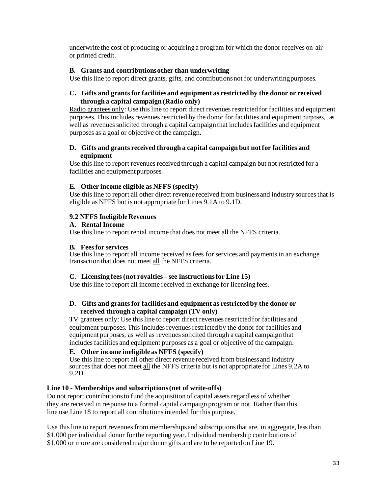underwrite the cost of producing or acquiring a program for which the donor receives on-air or printed credit.

#### **B. Grants and contributionsother than underwriting**

Use this line to report direct grants, gifts, and contributionsnot for underwritingpurposes.

#### **C. Gifts and grantsfor facilitiesand equipment as restricted by the donor or received through a capital campaign (Radio only)**

Radio grantees only: Use this line to report direct revenues restricted for facilities and equipment purposes. This includes revenues restricted by the donor for facilities and equipment purposes, as well as revenues solicited through a capital campaign that includes facilities and equipment purposes as a goal or objective of the campaign.

#### **D. Gifts and grants received through a capital campaign but not for facilities and equipment**

Use this line to report revenues received through a capital campaign but not restricted for a facilities and equipment purposes.

#### **E. Other income eligible as NFFS (specify)**

Use this line to report all other direct revenue received from business and industry sources that is eligible as NFFS but is not appropriate for Lines 9.1A to 9.1D.

#### **9.2 NFFS IneligibleRevenues**

#### **A. Rental Income**

Use this line to report rental income that does not meet all the NFFS criteria.

#### **B. Feesfor services**

Use this line to report all income received as fees for services and payments in an exchange transaction that does not meet all the NFFS criteria.

#### **C. Licensing fees(not royalties– see instructionsfor Line 15)**

Use this line to report all income received in exchange for licensing fees.

#### **D. Gifts and grantsfor facilitiesand equipment as restricted by the donor or received through a capital campaign (TV only)**

TV grantees only: Use this line to report direct revenues restricted for facilities and equipment purposes. This includes revenues restricted by the donor for facilities and equipment purposes, as well as revenuessolicited through a capital campaign that includesfacilities and equipment purposes as a goal or objective of the campaign.

#### **E. Other income ineligible as NFFS (specify)**

Use this line to report all other direct revenue received from business and industry sources that does not meet all the NFFS criteria but is not appropriate for Lines 9.2A to 9.2D.

#### **Line 10 - Memberships and subscriptions(net of write-offs)**

Do not report contributions to fund the acquisition of capital assets regardless of whether they are received in response to a formal capital campaign program or not. Rather than this line use Line 18 to report all contributions intended for this purpose.

Use this line to report revenues from memberships and subscriptions that are, in aggregate, less than \$1,000 per individual donor for the reporting year. Individualmembership contributionsof \$1,000 or more are consideredmajor donor gifts and are to be reported on Line 19.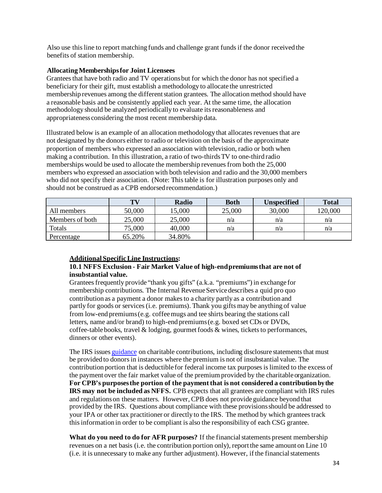Also use thisline to report matching funds and challenge grant fundsif the donor received the benefits of station membership.

#### **AllocatingMembershipsfor Joint Licensees**

Granteesthat have both radio and TV operationsbut for which the donor has not specified a beneficiary for their gift, must establish a methodology to allocate the unrestricted membership revenues among the different station grantees. The allocation method should have a reasonable basis and be consistently applied each year. At the same time, the allocation methodology should be analyzed periodically to evaluate itsreasonableness and appropriateness considering the most recent membership data.

Illustrated below is an example of an allocation methodology that allocatesrevenuesthat are not designated by the donors either to radio or television on the basis of the approximate proportion of members who expressed an association with television, radio or both when making a contribution. In this illustration, a ratio of two-thirdsTV to one-third radio memberships would be used to allocate the membership revenuesfrom both the 25,000 members who expressed an association with both television and radio and the 30,000 members who did not specify their association. (Note: This table is for illustration purposes only and should not be construed as a CPB endorsed recommendation.)

|                 | TV     | Radio  | <b>Both</b> | <b>Unspecified</b> | <b>Total</b> |
|-----------------|--------|--------|-------------|--------------------|--------------|
| All members     | 50,000 | 5,000  | 25,000      | 30,000             | 120,000      |
| Members of both | 25,000 | 25,000 | n/a         | n/a                | n/a          |
| Totals          | 75,000 | 40,000 | n/a         | n/a                | n/a          |
| Percentage      | 65.20% | 34.80% |             |                    |              |

#### **Additional SpecificLine Instructions:**

#### **10.1 NFFS Exclusion - Fair Market Value of high-endpremiumsthat are not of insubstantial value.**

Grantees frequently provide "thank you gifts" (a.k.a. "premiums") in exchange for membership contributions. The Internal Revenue Service describes a quid pro quo contribution as a payment a donor makesto a charity partly as a contribution and partly for goods or services(i.e. premiums). Thank you gifts may be anything of value from low-end premiums(e.g. coffeemugs and tee shirts bearing the stations call letters, name and/or brand) to high-end premiums(e.g. boxed set CDs or DVDs, coffee-table books, travel  $\&$  lodging, gourmet foods  $&$  wines, tickets to performances, dinners or other events).

The IRS issues [guidance](https://www.irs.gov/pub/irs-pdf/p1771.pdf) on charitable contributions, including disclosure statements that must be provided to donors in instances where the premium is not of insubstantial value. The contribution portion that is deductible for federal income tax purposesis limited to the excess of the payment over the fair market value of the premiumprovided by the charitable organization. **For CPB's purposesthe portion of the payment that is not considered a contribution by the IRS may not be included as NFFS.** CPB expects that all grantees are compliant with IRS rules and regulationson these matters. However, CPB does not provide guidance beyond that provided by the IRS. Questions about compliance with these provisionsshould be addressed to your IPA or other tax practitioner or directly to the IRS. The method by which granteestrack this information in order to be compliant is also the responsibility of each CSG grantee.

**What do you need to do for AFR purposes?** If the financialstatements present membership revenues on a net basis (i.e. the contribution portion only), report the same amount on Line 10 (i.e. it is unnecessary to make any further adjustment). However, if the financialstatements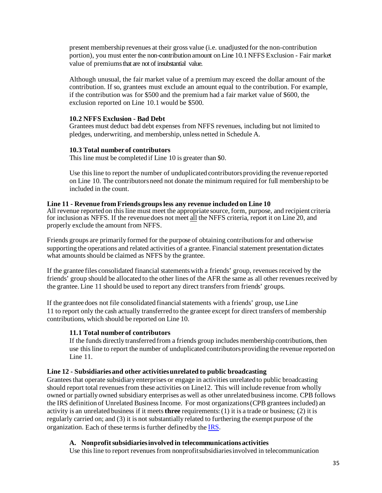present membership revenues at their gross value (i.e. unadjusted for the non-contribution portion), you must enter the non-contribution amount on Line 10.1NFFS Exclusion - Fair market value of premiumsthat are not of insubstantial value.

Although unusual, the fair market value of a premium may exceed the dollar amount of the contribution. If so, grantees must exclude an amount equal to the contribution. For example, if the contribution was for \$500 and the premium had a fair market value of \$600, the exclusion reported on Line 10.1 would be \$500.

#### **10.2 NFFS Exclusion - Bad Debt**

Grantees must deduct bad debt expenses from NFFS revenues, including but not limited to pledges, underwriting, and membership, unless netted in Schedule A.

#### **10.3 Total number of contributors**

This line must be completed if Line 10 is greater than \$0.

Use this line to report the number of unduplicated contributors providing the revenue reported on Line 10. The contributorsneed not donate the minimum required for full membership to be included in the count.

#### **Line 11 - Revenue from Friendsgroupsless any revenue included on Line 10**

All revenue reported on this line must meet the appropriate source, form, purpose, and recipient criteria for inclusion as NFFS. If the revenue does not meet all the NFFS criteria, report it on Line 20, and properly exclude the amount from NFFS.

Friends groups are primarily formed for the purpose of obtaining contributionsfor and otherwise supporting the operations and related activities of a grantee. Financial statement presentation dictates what amounts should be claimed as NFFS by the grantee.

If the grantee files consolidated financial statementswith a friends' group, revenuesreceived by the friends' group should be allocated to the other lines of the AFR the same as all other revenues received by the grantee. Line 11 should be used to report any direct transfersfrom friends' groups.

If the grantee does not file consolidated financial statements with a friends' group, use Line 11 to report only the cash actually transferred to the grantee except for direct transfers of membership contributions, which should be reported on Line 10.

## **11.1 Total number of contributors**

If the funds directly transferred from a friends group includes membership contributions, then use this line to report the number of unduplicated contributors providing the revenue reported on Line 11.

## **Line 12 - Subsidiariesand other activitiesunrelated to public broadcasting**

Granteesthat operate subsidiary enterprises or engage in activities unrelated to public broadcasting should report total revenues from these activities on Line12. This will include revenue from wholly owned or partially owned subsidiary enterprises as well as other unrelated business income. CPB follows the IRS definition of Unrelated Business Income. For most organizations (CPB grantees included) an activity is an unrelated business if it meets**three** requirements:(1) it is a trade or business; (2) it is regularly carried on; and (3) it is not substantially related to furthering the exempt purpose of the organization. Each of these terms is further defined by the **IRS**.

## **A. Nonprofitsubsidiariesinvolved in telecommunicationsactivities**

Use this line to report revenuesfrom nonprofitsubsidiariesinvolved in telecommunication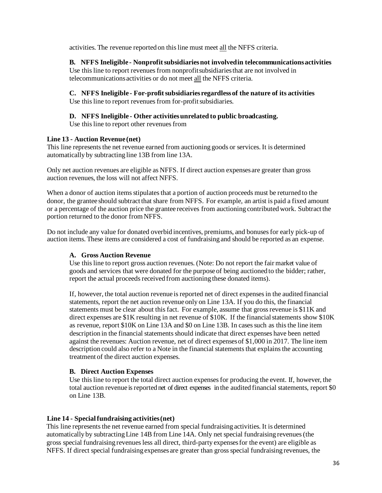activities. The revenue reported on thisline must meet all the NFFS criteria.

#### **B. NFFS Ineligible - Nonprofitsubsidiariesnot involvedin telecommunicationsactivities**  Use this line to report revenues from nonprofitsubsidiaries that are not involved in telecommunicationsactivities or do not meet all the NFFS criteria.

## **C. NFFS Ineligible - For-profitsubsidiariesregardlessof the nature of its activities**

Use this line to report revenues from for-profit subsidiaries.

## **D. NFFS Ineligible - Other activitiesunrelated to public broadcasting.**

Use this line to report other revenues from

## **Line 13 - Auction Revenue (net)**

This line represents the net revenue earned from auctioning goods or services. It is determined automatically by subtracting line 13B from line 13A.

Only net auction revenues are eligible as NFFS. If direct auction expenses are greater than gross auction revenues, the loss will not affect NFFS.

When a donor of auction items stipulates that a portion of auction proceeds must be returned to the donor, the grantee should subtract that share from NFFS. For example, an artist is paid a fixed amount or a percentage of the auction price the grantee receives from auctioning contributedwork. Subtract the portion returned to the donor from NFFS.

Do not include any value for donated overbid incentives, premiums, and bonusesfor early pick-up of auction items. These items are considered a cost of fundraising and should be reported as an expense.

## **A. Gross Auction Revenue**

Use this line to report gross auction revenues. (Note: Do not report the fair market value of goods and services that were donated for the purpose of being auctioned to the bidder; rather, report the actual proceeds received from auctioning these donated items).

If, however, the total auction revenue is reported net of direct expenses in the audited financial statements, report the net auction revenue only on Line 13A. If you do this, the financial statements must be clear about thisfact. For example, assume that grossrevenue is \$11K and direct expenses are  $$1K$  resulting in net revenue of  $$10K$ . If the financial statements show  $$10K$ as revenue, report \$10K on Line 13A and \$0 on Line 13B. In casessuch as thisthe line item description in the financial statements should indicate that direct expenses have been netted against the revenues: Auction revenue, net of direct expensesof \$1,000 in 2017. The line item description could also refer to a Note in the financial statements that explains the accounting treatment of the direct auction expenses.

## **B. Direct Auction Expenses**

Use this line to report the total direct auction expensesfor producing the event. If, however, the total auction revenue is reported net of direct expenses in the audited financial statements, report \$0 on Line 13B.

## **Line 14 - Specialfundraising activities(net)**

This line represents the net revenue earned from special fundraising activities. It is determined automatically by subtractingLine 14B from Line 14A. Only net special fundraising revenues(the gross special fundraising revenuesless all direct, third-party expensesfor the event) are eligible as NFFS. If direct special fundraising expensesare greater than grossspecial fundraising revenues, the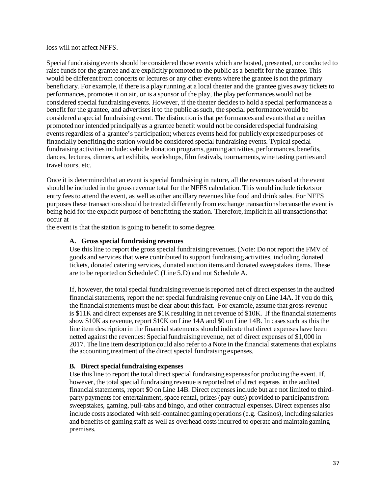loss will not affect NFFS.

Specialfundraising events should be considered those events which are hosted, presented, or conducted to raise funds for the grantee and are explicitly promoted to the public as a benefit for the grantee. This would be different from concerts or lectures or any other events where the grantee is not the primary beneficiary. For example, if there is a play running at a local theater and the grantee gives away tickets to performances, promotesit on air, or is a sponsor of the play, the play performanceswould not be considered special fundraising events. However, if the theater decidesto hold a special performance as a benefit for the grantee, and advertises it to the public as such, the special performance would be considered a special fundraising event. The distinction is that performances and events that are neither promoted nor intended principally as a grantee benefit would not be considered special fundraising events regardless of a grantee's participation; whereas events held for publicly expressed purposes of financially benefiting the station would be considered special fundraising events. Typical special fundraising activities include: vehicle donation programs, gaming activities, performances, benefits, dances, lectures, dinners, art exhibits, workshops, film festivals, tournaments,wine tasting parties and travel tours, etc.

Once it is determined that an event is special fundraising in nature, all the revenues raised at the event should be included in the grossrevenue total for the NFFS calculation. This would include tickets or entry feesto attend the event, as well as other ancillary revenueslike food and drink sales. For NFFS purposes these transactionsshould be treated differently from exchange transactionsbecause the event is being held for the explicit purpose of benefitting the station. Therefore, implicit in all transactionsthat occur at

the event is that the station is going to benefit to some degree.

# **A. Grossspecial fundraising revenues**

Use this line to report the grossspecial fundraising revenues. (Note: Do not report the FMV of goods and services that were contributed to support fundraising activities, including donated tickets, donated catering services, donated auction items and donated sweepstakes items. These are to be reported on ScheduleC (Line 5.D) and not Schedule A.

If, however, the total special fundraising revenue is reported net of direct expensesin the audited financial statements, report the net special fundraising revenue only on Line 14A. If you do this, the financial statements must be clear about this fact. For example, assume that gross revenue is \$11K and direct expenses are \$1K resulting in net revenue of \$10K. If the financial statements show \$10K as revenue, report \$10K on Line 14A and \$0 on Line 14B. In cases such as this the line item description in the financial statements should indicate that direct expenses have been netted against the revenues: Specialfundraising revenue, net of direct expenses of \$1,000 in 2017. The line item description could also refer to a Note in the financial statements that explains the accounting treatment of the direct special fundraising expenses.

## **B. Direct specialfundraising expenses**

Use this line to report the total direct special fundraising expensesfor producing the event. If, however, the total special fundraising revenue is reported net of direct expenses in the audited financial statements, report \$0 on Line 14B. Direct expenses include but are not limited to thirdparty payments for entertainment, space rental, prizes (pay-outs) provided to participants from sweepstakes, gaming, pull-tabs and bingo, and other contractual expenses. Direct expenses also include costs associated with self-contained gaming operations (e.g. Casinos), including salaries and benefits of gaming staff as well as overhead costsincurred to operate and maintain gaming premises.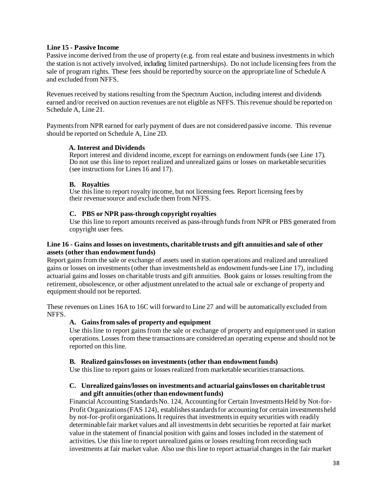# **Line 15 - Passive Income**

Passive income derived from the use of property (e.g. from real estate and businessinvestments in which the station is not actively involved, including limited partnerships). Do not include licensing fees from the sale of program rights. These fees should be reported by source on the appropriate line of ScheduleA and excluded from NFFS.

Revenues received by stations resulting from the Spectrum Auction, including interest and dividends earned and/or received on auction revenues are not eligible as NFFS. This revenue should be reported on Schedule A, Line 21.

Paymentsfrom NPR earned for early payment of dues are not considered passive income. This revenue should be reported on Schedule A, Line 2D.

# **A. Interest and Dividends**

Report interest and dividend income, except for earnings on endowment funds(see Line 17). Do not use this line to report realized and unrealized gains or losses on marketable securities (see instructions for Lines 16 and 17).

## **B. Royalties**

Use this line to report royalty income, but not licensing fees. Report licensing fees by their revenue source and exclude them from NFFS.

# **C. PBS or NPR pass-through copyright royalties**

Use this line to report amounts received as pass-through funds from NPR or PBS generated from copyright user fees.

## **Line 16 - Gains and losses on investments, charitable trusts and gift annuitiesand sale of other assets (other than endowment funds)**

Report gains from the sale or exchange of assets used in station operations and realized and unrealized gains or losses on investments(other than investmentsheld as endowmentfunds-see Line 17), including actuarial gains and losses on charitable trusts and gift annuities. Book gains or losses resulting from the retirement, obsolescence, or other adjustment unrelated to the actual sale or exchange of property and equipment should not be reported.

These revenues on Lines 16A to 16C will forward to Line 27 and will be automatically excluded from NFFS.

# **A. Gainsfrom sales of property and equipment**

Use this line to report gainsfrom the sale or exchange of property and equipment used in station operations. Losses from these transactionsare considered an operating expense and should not be reported on this line.

## **B. Realized gains/losses on investments(other than endowment funds)**

Use this line to report gains or losses realized from marketable securities transactions.

# **C. Unrealized gains/losses on investmentsand actuarial gains/losses on charitable trust and gift annuities(other than endowment funds)**

Financial Accounting Standards No. 124, Accounting for Certain Investments Held by Not-for-Profit Organizations (FAS 124), establishes standards for accounting for certain investments held by not-for-profit organizations. It requires that investments in equity securities with readily determinable fair market values and all investmentsin debt securities be reported at fair market value in the statement of financial position with gains and losses included in the statement of activities. Use thisline to report unrealized gains or losses resulting from recording such investments at fair market value. Also use this line to report actuarial changes in the fair market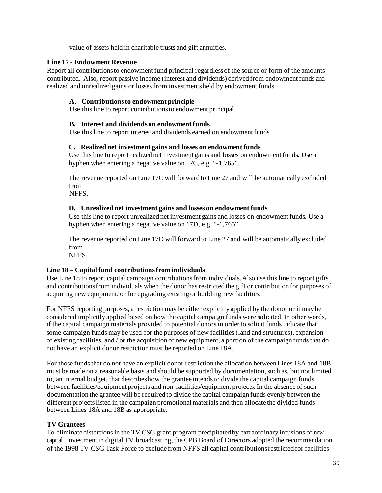value of assets held in charitable trusts and gift annuities.

# **Line 17 - Endowment Revenue**

Report all contributions to endowment fund principal regardless of the source or form of the amounts contributed. Also, report passive income (interest and dividends) derived from endowmentfunds and realized and unrealized gains or lossesfrom investmentsheld by endowment funds.

# **A. Contributionsto endowment principle**

Use this line to report contributionsto endowment principal.

# **B. Interest and dividendson endowment funds**

Use this line to report interest and dividends earned on endowment funds.

# **C. Realized net investment gains and losses on endowment funds**

Use this line to report realized net investment gains and losses on endowmentfunds*.* Use a hyphen when entering a negative value on 17C, e.g. "-1,765".

The revenue reported on Line 17C will forward to Line 27 and will be automatically excluded from

NFFS.

# **D. Unrealized net investment gains and losses on endowment funds**

Use this line to report unrealized net investment gains and losses on endowmentfunds*.* Use a hyphen when entering a negative value on 17D, e.g. "-1,765".

The revenue reported on Line 17D will forward to Line 27 and will be automatically excluded from

NFFS.

# **Line 18 – Capitalfund contributionsfrom individuals**

Use Line 18 to report capital campaign contributionsfrom individuals.Also use thisline to report gifts and contributionsfrom individuals when the donor hasrestricted the gift or contribution for purposes of acquiring new equipment, or for upgrading existing or building new facilities.

For NFFS reporting purposes, a restrictionmay be either explicitly applied by the donor or it may be considered implicitly applied based on how the capital campaign funds were solicited. In other words, if the capital campaign materials provided to potential donors in order to solicit funds indicate that some campaign funds may be used for the purposes of new facilities(land and structures), expansion of existing facilities, and / or the acquisition of new equipment, a portion of the campaign funds that do not have an explicit donor restriction must be reported on Line 18A.

For those funds that do not have an explicit donor restriction the allocation between Lines 18A and 18B must be made on a reasonable basis and should be supported by documentation, such as, but not limited to, an internal budget, that describeshow the grantee intendsto divide the capital campaign funds between facilities/equipment projects and non-facilities/equipment projects. In the absence of such documentation the grantee will be required to divide the capital campaign funds evenly between the different projects listed in the campaign promotional materials and then allocate the divided funds between Lines 18A and 18B as appropriate.

## **TV Grantees**

To eliminate distortions in the TV CSG grant program precipitated by extraordinary infusions of new capital investment in digital TV broadcasting, the CPB Board of Directors adopted the recommendation of the 1998 TV CSG Task Force to exclude from NFFS all capital contributionsrestricted for facilities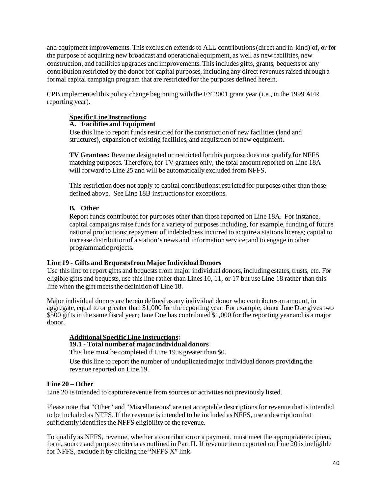and equipment improvements. This exclusion extends to ALL contributions (direct and in-kind) of, or for the purpose of acquiring new broadcast and operational equipment, as well as new facilities, new construction, and facilities upgrades and improvements. Thisincludes gifts, grants, bequests or any contribution restricted by the donor for capital purposes, including any direct revenuesraised through a formal capital campaign program that are restricted for the purposes defined herein.

CPB implemented this policy change beginning with the FY 2001 grant year (i.e., in the 1999 AFR reporting year).

# **SpecificLine Instructions:**

# **A. Facilitiesand Equipment**

Use this line to report funds restricted for the construction of new facilities (land and structures), expansion of existing facilities, and acquisition of new equipment.

**TV Grantees:** Revenue designated or restricted for this purpose does not qualify for NFFS matching purposes. Therefore, for TV grantees only, the total amountreported on Line 18A will forward to Line 25 and will be automatically excluded from NFFS.

This restriction does not apply to capital contributionsrestricted for purposes other than those defined above. See Line 18B instructionsfor exceptions.

# **B. Other**

Report funds contributed for purposes other than those reported on Line 18A. For instance, capital campaigns raise funds for a variety of purposes including, for example, funding of future national productions; repayment of indebtedness incurred to acquire a stations license; capital to increase distribution of a station's news and information service; and to engage in other programmatic projects.

## **Line 19 - Gifts and Bequestsfrom Major Individual Donors**

Use this line to report gifts and bequests from major individual donors, including estates, trusts, etc. For eligible gifts and bequests, use thisline rather than Lines 10, 11, or 17 but use Line 18 rather than this line when the gift meets the definition of Line 18.

Major individual donors are herein defined as any individual donor who contributes an amount, in aggregate, equal to or greater than \$1,000 for the reporting year. For example, donor Jane Doe givestwo \$500 gifts in the same fiscal year; Jane Doe has contributed \$1,000 for the reporting year and is a major donor.

# **Additional SpecificLine Instructions:**

# **19.1 - Total number of major individual donors**

This line must be completed if Line 19 is greater than \$0.

Use this line to report the number of unduplicated major individual donors providing the revenue reported on Line 19.

# **Line 20 – Other**

Line 20 is intended to capture revenue from sources or activities not previously listed.

Please note that "Other" and "Miscellaneous" are not acceptable descriptions for revenue that is intended to be included as NFFS. If the revenue is intended to be included as NFFS, use a description that sufficiently identifies the NFFS eligibility of the revenue.

To qualify as NFFS, revenue, whether a contribution or a payment, must meet the appropriate recipient, form, source and purpose criteria as outlined in Part II. If revenue item reported on Line 20 is ineligible for NFFS, exclude it by clicking the "NFFS X" link.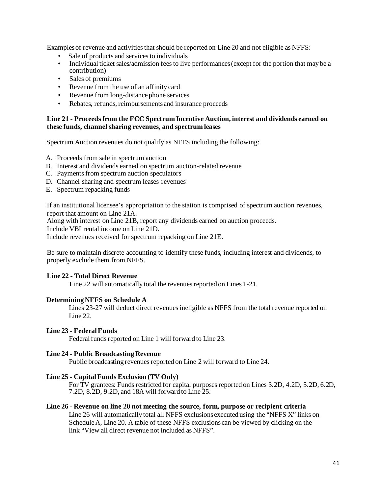Examples of revenue and activities that should be reported on Line 20 and not eligible as NFFS:

- Sale of products and services to individuals
- Individual ticket sales/admission fees to live performances (except for the portion that may be a contribution)
- Sales of premiums
- Revenue from the use of an affinity card
- Revenue from long-distance phone services
- Rebates, refunds, reimbursementsand insurance proceeds

## **Line 21 - Proceeds from the FCC Spectrum Incentive Auction, interest and dividends earned on these funds, channel sharing revenues, and spectrum leases**

Spectrum Auction revenues do not qualify as NFFS including the following:

- A. Proceeds from sale in spectrum auction
- B. Interest and dividends earned on spectrum auction-related revenue
- C. Payments from spectrum auction speculators
- D. Channel sharing and spectrum leases revenues
- E. Spectrum repacking funds

If an institutional licensee's appropriation to the station is comprised of spectrum auction revenues, report that amount on Line 21A.

Along with interest on Line 21B, report any dividends earned on auction proceeds.

Include VBI rental income on Line 21D.

Include revenues received for spectrum repacking on Line 21E.

Be sure to maintain discrete accounting to identify these funds, including interest and dividends, to properly exclude them from NFFS.

# **Line 22 - Total Direct Revenue**

Line 22 will automatically total the revenues reported on Lines 1-21.

## **DeterminingNFFS on Schedule A**

Lines 23-27 will deduct direct revenues ineligible as NFFS from the total revenue reported on Line 22.

# **Line 23 - FederalFunds**

Federal funds reported on Line 1 will forward to Line 23.

## **Line 24 - Public Broadcasting Revenue**

Public broadcasting revenues reported on Line 2 will forward to Line 24.

## **Line 25 - CapitalFunds Exclusion (TV Only)**

For TV grantees: Funds restricted for capital purposes reported on Lines 3.2D, 4.2D, 5.2D, 6.2D, 7.2D, 8.2D, 9.2D, and 18A will forward to Line 25.

## **Line 26 - Revenue on line 20 not meeting the source, form, purpose or recipient criteria**

Line 26 will automatically total all NFFS exclusionsexecuted using the "NFFS X" links on ScheduleA, Line 20. A table of these NFFS exclusions can be viewed by clicking on the link "View all direct revenue not included as NFFS".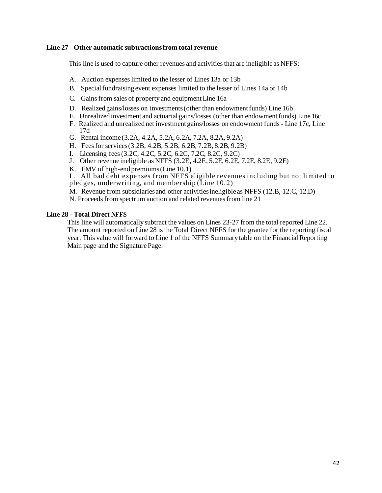# **Line 27 - Other automatic subtractionsfrom total revenue**

This line is used to capture other revenues and activities that are ineligible as NFFS:

- A. Auction expenseslimited to the lesser of Lines 13a or 13b
- B. Specialfundraising event expenses limited to the lesser of Lines 14a or 14b
- C. Gains from sales of property and equipment Line 16a.
- D. Realized gains/losses on investments (other than endowment funds) Line 16b
- E. Unrealized investment and actuarial gains/losses (other than endowmentfunds) Line 16c
- F. Realized and unrealized net investment gains/losses on endowment funds- Line 17c, Line 17d
- G. Rental income (3.2A, 4.2A, 5.2A, 6.2A, 7.2A, 8.2A, 9.2A)
- H. Feesfor services(3.2B, 4.2B, 5.2B, 6.2B, 7.2B, 8.2B, 9.2B)
- I. Licensing fees(3.2C, 4.2C, 5.2C, 6.2C, 7.2C, 8.2C, 9.2C)
- J. Other revenue ineligible as NFFS (3.2E, 4.2E, 5.2E, 6.2E, 7.2E, 8.2E, 9.2E)
- K. FMV of high-end premiums(Line 10.1)

L. All bad debt expenses from NFFS eligible revenues including but not limited to

- pledges, underwriting, and membership (Line 10.2)
- M. Revenue from subsidiaries and other activitiesineligible as NFFS (12.B, 12.C, 12.D)
- N. Proceeds from spectrum auction and related revenues from line 21

# **Line 28 - Total Direct NFFS**

This line will automatically subtract the values on Lines 23-27 from the total reported Line 22. The amount reported on Line 28 is the Total Direct NFFS for the grantee for the reporting fiscal year. This value will forward to Line 1 of the NFFS Summary table on the FinancialReporting Main page and the SignaturePage.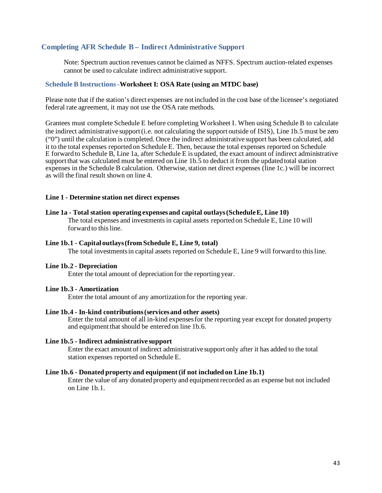# **Completing AFR Schedule B – Indirect Administrative Support**

Note: Spectrum auction revenues cannot be claimed as NFFS. Spectrum auction-related expenses cannot be used to calculate indirect administrative support.

### **Schedule B Instructions-Worksheet I: OSA Rate (using an MTDC base)**

Please note that if the station's direct expenses are not included in the cost base of the licensee's negotiated federal rate agreement, it may not use the OSA rate methods.

Grantees must complete Schedule E before completing Worksheet I. When using Schedule B to calculate the indirect administrative support(i.e. not calculating the support outside of ISIS), Line 1b.5 must be zero ("0") until the calculation is completed. Once the indirect administrative support has been calculated, add it to the total expenses reported on Schedule E. Then, because the total expenses reported on Schedule E forward to Schedule B, Line 1a, after Schedule E is updated, the exact amount of indirect administrative support that was calculated must be entered on Line 1b.5 to deduct it from the updated total station expenses in the Schedule B calculation. Otherwise, station net direct expenses (line 1c.) will be incorrect as will the final result shown on line 4.

## **Line 1 - Determine station net direct expenses**

## **Line 1a - Total station operating expensesand capital outlays(ScheduleE, Line 10)**

The total expenses and investments in capital assets reported on Schedule E, Line 10 will forward to thisline.

#### **Line 1b.1 - Capital outlays(from Schedule E, Line 9, total)**

The total investmentsin capital assets reported on Schedule E, Line 9 will forward to this line.

#### **Line 1b.2 - Depreciation**

Enter the total amount of depreciation for the reporting year.

#### **Line 1b.3 - Amortization**

Enter the total amount of any amortization for the reporting year.

#### **Line 1b.4 - In-kind contributions(servicesand other assets)**

Enter the total amount of all in-kind expensesfor the reporting year except for donated property and equipment that should be entered on line 1b.6.

#### **Line 1b.5 - Indirect administrative support**

Enter the exact amount of indirect administrative support only after it has added to the total station expenses reported on Schedule E.

#### **Line 1b.6 - Donated property and equipment (if not included on Line 1b.1)**

Enter the value of any donated property and equipmentrecorded as an expense but not included on Line 1b.1.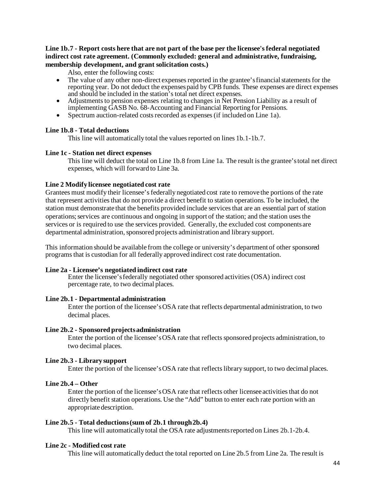# **Line 1b.7 - Report costs here that are not part of the base per the licensee's federal negotiated indirect cost rate agreement. (Commonly excluded: general and administrative, fundraising, membership development, and grant solicitation costs.)**

Also, enter the following costs:

- The value of any other non-direct expenses reported in the grantee's financial statements for the reporting year. Do not deduct the expenses paid by CPB funds. These expenses are direct expenses and should be included in the station'stotal net direct expenses.
- Adjustments to pension expenses relating to changes in Net Pension Liability as a result of implementing GASB No. 68-Accounting and Financial Reporting for Pensions.
- Spectrum auction-related costs recorded as expenses (if included on Line 1a).

# **Line 1b.8 - Total deductions**

This line will automatically total the values reported on lines 1b.1-1b.7.

# **Line 1c - Station net direct expenses**

This line will deduct the total on Line 1b.8 from Line 1a. The result is the grantee'stotal net direct expenses, which will forward to Line 3a.

# **Line 2 Modify licensee negotiated cost rate**

Grantees must modify their licensee's federally negotiated cost rate to remove the portions of the rate that represent activitiesthat do not provide a direct benefit to station operations. To be included, the station must demonstrate that the benefits provided include services that are an essential part of station operations;services are continuous and ongoing in support of the station; and the station usesthe services or is required to use the services provided. Generally, the excluded cost componentsare departmental administration, sponsored projects administration and library support.

This information should be available from the college or university's department of other sponsored programsthat is custodian for all federally approved indirect cost rate documentation.

## **Line 2a - Licensee's negotiated indirect cost rate**

Enter the licensee'sfederally negotiated other sponsored activities(OSA) indirect cost percentage rate, to two decimal places.

# **Line 2b.1 - Departmental administration**

Enter the portion of the licensee'sOSA rate that reflects departmental administration, to two decimal places.

# **Line 2b.2 - Sponsored projectsadministration**

Enter the portion of the licensee's OSA rate that reflects sponsored projects administration, to two decimal places.

# **Line 2b.3 - Library support**

Enter the portion of the licensee'sOSA rate that reflectslibrary support, to two decimal places.

# **Line 2b.4 – Other**

Enter the portion of the licensee's OSA rate that reflects other licensee activities that do not directly benefit station operations. Use the "Add" button to enter each rate portion with an appropriate description.

# **Line 2b.5 - Total deductions(sum of 2b.1 through2b.4)**

This line will automatically total the OSA rate adjustmentsreported on Lines 2b.1-2b.4.

# **Line 2c - Modified cost rate**

This line will automatically deduct the total reported on Line 2b.5 from Line 2a. The result is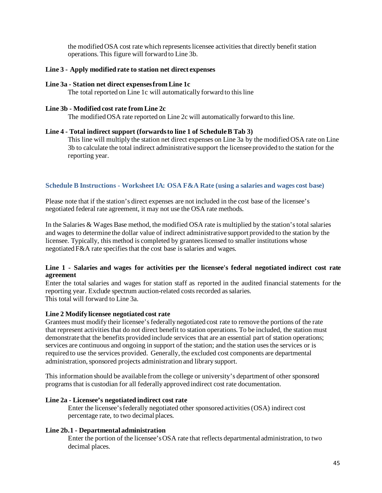the modifiedOSA cost rate which representslicensee activitiesthat directly benefit station operations. This figure will forward to Line 3b.

### **Line 3 - Apply modified rate to station net direct expenses**

#### **Line 3a - Station net direct expensesfrom Line 1c**

The total reported on Line 1c will automatically forward to this line

#### **Line 3b - Modified cost rate from Line 2c**

The modified OSA rate reported on Line 2c will automatically forward to this line.

### **Line 4 - Total indirect support (forwardsto line 1 of ScheduleB Tab 3)**

This line will multiply the station net direct expenses on Line 3a by the modifiedOSA rate on Line 3b to calculate the total indirect administrative support the licensee provided to the station for the reporting year.

### **Schedule B Instructions - Worksheet IA: OSA F&A Rate (using a salaries and wages cost base)**

Please note that if the station's direct expenses are not included in the cost base of the licensee's negotiated federal rate agreement, it may not use the OSA rate methods.

In the Salaries & Wages Base method, the modified OSA rate is multiplied by the station'stotal salaries and wages to determine the dollar value of indirect administrative support provided to the station by the licensee. Typically, this method is completed by granteeslicensed to smaller institutions whose negotiated F&A rate specifies that the cost base is salaries and wages.

### **Line 1 - Salaries and wages for activities per the licensee's federal negotiated indirect cost rate agreement**

Enter the total salaries and wages for station staff as reported in the audited financial statements for the reporting year. Exclude spectrum auction-related costs recorded as salaries. This total will forward to Line 3a.

#### **Line 2 Modify licensee negotiated cost rate**

Grantees must modify their licensee's federally negotiated cost rate to remove the portions of the rate that represent activities that do not direct benefit to station operations. To be included, the station must demonstrate that the benefits provided include services that are an essential part of station operations; services are continuous and ongoing in support of the station; and the station uses the services or is required to use the services provided. Generally, the excluded cost components are departmental administration, sponsored projects administration and library support.

This information should be available from the college or university's department of other sponsored programsthat is custodian for all federally approved indirect cost rate documentation.

#### **Line 2a - Licensee's negotiated indirect cost rate**

Enter the licensee'sfederally negotiated other sponsored activities(OSA) indirect cost percentage rate, to two decimal places.

#### **Line 2b.1 - Departmental administration**

Enter the portion of the licensee'sOSA rate that reflects departmental administration, to two decimal places.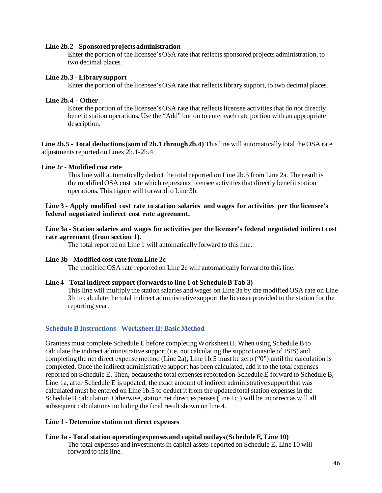### **Line 2b.2 - Sponsored projectsadministration**

Enter the portion of the licensee's OSA rate that reflects sponsored projects administration, to two decimal places.

### **Line 2b.3 - Library support**

Enter the portion of the licensee'sOSA rate that reflectslibrary support, to two decimal places.

### **Line 2b.4 – Other**

Enter the portion of the licensee'sOSA rate that reflectslicensee activitiesthat do not directly benefit station operations. Use the "Add" button to enter each rate portion with an appropriate description.

**Line 2b.5 - Total deductions(sum of 2b.1 through2b.4)** Thisline will automatically total the OSA rate adjustments reported on Lines 2b.1-2b.4.

### **Line 2c - Modified cost rate**

This line will automatically deduct the total reported on Line 2b.5 from Line 2a. The result is the modified OSA cost rate which represents licensee activities that directly benefit station operations. This figure will forward to Line 3b.

# **Line 3 - Apply modified cost rate to station salaries and wages for activities per the licensee's federal negotiated indirect cost rate agreement.**

### **Line 3a - Station salaries and wages for activities per the licensee's federal negotiated indirect cost rate agreement (from section 1).**

The total reported on Line 1 will automatically forward to this line.

## **Line 3b - Modified cost rate from Line 2c**

The modified OSA rate reported on Line 2c will automatically forward to this line.

## **Line 4 - Total indirect support (forwardsto line 1 of ScheduleB Tab 3)**

This line will multiply the station salaries and wages on Line 3a by the modifiedOSA rate on Line 3b to calculate the total indirect administrative support the licensee provided to the station for the reporting year.

## **Schedule B Instructions- Worksheet II: Basic Method**

Grantees must complete Schedule E before completingWorksheetII. When using Schedule B to calculate the indirect administrative support(i.e. not calculating the support outside of ISIS) and completing the net direct expense method (Line 2a), Line 1b.5 must be zero ("0") until the calculation is completed. Once the indirect administrative support has been calculated, add it to the total expenses reported on Schedule E. Then, because the total expensesreported on Schedule E forward to Schedule B, Line 1a, after Schedule E is updated, the exact amount of indirect administrative support that was calculated must be entered on Line 1b.5 to deduct it from the updated total station expensesin the Schedule B calculation. Otherwise, station net direct expenses (line 1c.) will be incorrect as will all subsequent calculations including the final result shown on line 4.

#### **Line 1 - Determine station net direct expenses**

## **Line 1a - Total station operating expensesand capital outlays(ScheduleE, Line 10)**

The total expenses and investments in capital assets reported on Schedule E, Line 10 will forward to this line.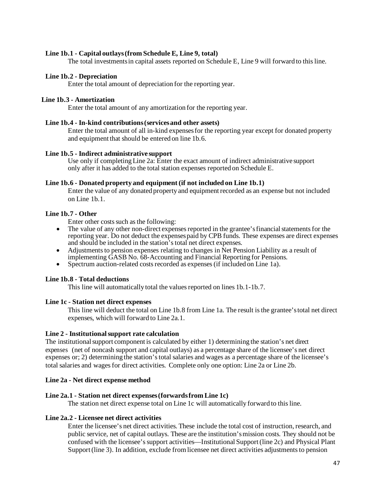# **Line 1b.1 - Capital outlays(from Schedule E, Line 9, total)**

The total investmentsin capital assets reported on Schedule E, Line 9 will forward to this line.

# **Line 1b.2 - Depreciation**

Enter the total amount of depreciation for the reporting year.

# **Line 1b.3 - Amortization**

Enter the total amount of any amortization for the reporting year.

# **Line 1b.4 - In-kind contributions(servicesand other assets)**

Enter the total amount of all in-kind expensesfor the reporting year except for donated property and equipment that should be entered on line 1b.6.

# **Line 1b.5 - Indirect administrative support**

Use only if completingLine 2a: Enter the exact amount of indirect administrative support only after it has added to the total station expenses reported on Schedule E.

# **Line 1b.6 - Donated property and equipment (if not included on Line 1b.1)**

Enter the value of any donated property and equipmentrecorded as an expense but not included on Line 1b.1.

# **Line 1b.7 - Other**

Enter other costs such as the following:

- The value of any other non-direct expenses reported in the grantee's financial statements for the reporting year. Do not deduct the expenses paid by CPB funds. These expenses are direct expenses and should be included in the station'stotal net direct expenses.
- Adjustments to pension expenses relating to changes in Net Pension Liability as a result of implementing GASB No. 68-Accounting and Financial Reporting for Pensions.
- Spectrum auction-related costs recorded as expenses (if included on Line 1a).

# **Line 1b.8 - Total deductions**

This line will automatically total the values reported on lines 1b.1-1b.7.

# **Line 1c - Station net direct expenses**

This line will deduct the total on Line 1b.8 from Line 1a. The result is the grantee'stotal net direct expenses, which will forward to Line 2a.1.

# **Line 2 - Institutionalsupport rate calculation**

The institutionalsupport component is calculated by either 1) determining the station's net direct expenses (net of noncash support and capital outlays) as a percentage share of the licensee's net direct expenses or; 2) determining the station's total salaries and wages as a percentage share of the licensee's total salaries and wagesfor direct activities. Complete only one option: Line 2a or Line 2b.

# **Line 2a - Net direct expense method**

# **Line 2a.1 - Station net direct expenses(forwardsfrom Line 1c)**

The station net direct expense total on Line 1c will automatically forward to this line.

# **Line 2a.2 - Licensee net direct activities**

Enter the licensee's net direct activities. These include the total cost of instruction, research, and public service, net of capital outlays. These are the institution'smission costs. They should not be confused with the licensee'ssupport activities—Institutional Support(line 2c) and Physical Plant Support(line 3). In addition, exclude from licensee net direct activities adjustments to pension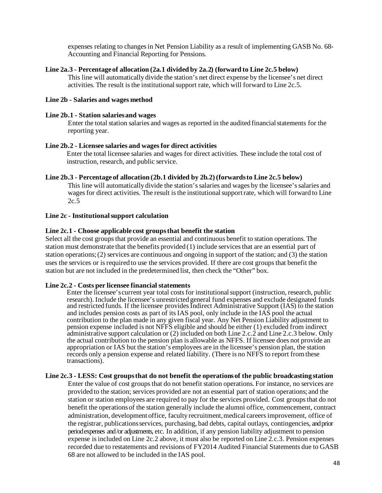expenses relating to changes in Net Pension Liability as a result of implementing GASB No. 68- Accounting and Financial Reporting for Pensions.

### **Line 2a.3 - Percentage of allocation (2a.1 divided by 2a.2) (forward to Line 2c.5 below)**

This line will automatically divide the station's net direct expense by the licensee's net direct activities. The result is the institutionalsupport rate, which will forward to Line 2c.5.

### **Line 2b - Salaries and wages method**

#### **Line 2b.1 - Station salariesand wages**

Enter the total station salaries and wages as reported in the audited financialstatements for the reporting year.

### **Line 2b.2 - Licensee salaries and wagesfor direct activities**

Enter the total licensee salaries and wages for direct activities. These include the total cost of instruction, research, and public service.

### **Line 2b.3 - Percentage of allocation (2b.1 divided by 2b.2)(forwardsto Line 2c.5 below)**

This line will automatically divide the station'ssalaries and wages by the licensee'ssalaries and wages for direct activities. The result is the institutional support rate, which will forward to Line 2c.5

### **Line 2c - Institutionalsupport calculation**

## **Line 2c.1 - Choose applicable cost groupsthat benefit the station**

Select all the cost groups that provide an essential and continuous benefit to station operations. The station must demonstrate that the benefits provided (1) include servicesthat are an essential part of station operations;(2) services are continuous and ongoing in support of the station; and (3) the station uses the services or is required to use the services provided. If there are cost groupsthat benefit the station but are not included in the predetermined list, then check the "Other" box.

#### **Line 2c.2 - Costs per licensee financial statements**

Enter the licensee's current year total costs for institutional support (instruction, research, public research). Include the licensee's unrestricted general fund expenses and exclude designated funds and restricted funds. If the licensee provides Indirect Administrative Support (IAS) to the station and includes pension costs as part of its IAS pool, only include in the IAS pool the actual contribution to the plan made in any given fiscal year. Any Net Pension Liability adjustment to pension expense included is not NFFS eligible and should be either (1) excluded from indirect administrative support calculation or (2) included on both Line 2.c.2 and Line 2.c.3 below. Only the actual contribution to the pension plan is allowable as NFFS. If licensee does not provide an appropriation or IAS but the station's employees are in the licensee's pension plan, the station records only a pension expense and related liability. (There is no NFFS to report from these transactions).

#### **Line 2c.3 - LESS: Cost groupsthat do not benefit the operationsof the public broadcasting station**

Enter the value of cost groups that do not benefit station operations. For instance, no services are provided to the station; services provided are not an essential part of station operations; and the station or station employees are required to pay for the services provided. Cost groups that do not benefit the operationsof the station generally include the alumni office, commencement, contract administration, development office, faculty recruitment,medical careersimprovement, office of the registrar, publicationsservices, purchasing, bad debts, capital outlays, contingencies, and prior period expenses and /or adjustments, etc. In addition, if any pension liability adjustment to pension expense is included on Line 2c.2 above, it must also be reported on Line 2.c.3. Pension expenses recorded due to restatements and revisions of FY2014 Audited Financial Statements due to GASB 68 are not allowed to be included in the IAS pool.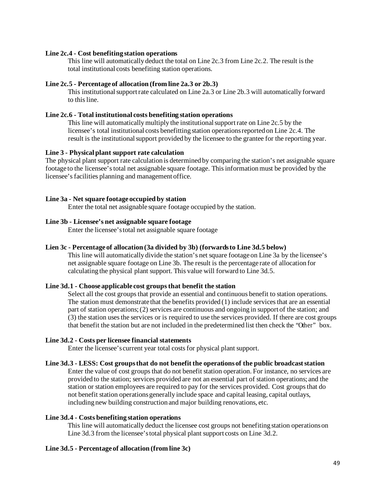## **Line 2c.4 - Cost benefiting station operations**

This line will automatically deduct the total on Line 2c.3 from Line 2c.2. The result is the total institutional costs benefiting station operations.

#### **Line 2c.5 - Percentage of allocation (from line 2a.3 or 2b.3)**

This institutionalsupportrate calculated on Line 2a.3 or Line 2b.3 will automatically forward to this line.

#### **Line 2c.6 - Total institutional costs benefiting station operations**

This line will automaticallymultiply the institutionalsupportrate on Line 2c.5 by the licensee's total institutional costs benefitting station operationsreported on Line 2c.4. The result is the institutionalsupport provided by the licensee to the grantee for the reporting year.

### **Line 3 - Physical plant support rate calculation**

The physical plant support rate calculation is determined by comparing the station's net assignable square footage to the licensee'stotal net assignable square footage. Thisinformationmust be provided by the licensee's facilities planning and management office.

### **Line 3a - Net square footage occupied by station**

Enter the total net assignable square footage occupied by the station.

### **Line 3b - Licensee's net assignable square footage**

Enter the licensee'stotal net assignable square footage

# **Lien 3c - Percentage of allocation (3a divided by 3b) (forwardsto Line 3d.5 below)**

This line will automatically divide the station's net square footage on Line 3a by the licensee's net assignable square footage on Line 3b. The result is the percentage rate of allocation for calculating the physical plant support. This value will forward to Line 3d.5.

#### **Line 3d.1 - Choose applicable cost groupsthat benefit the station**

Select all the cost groups that provide an essential and continuous benefit to station operations. The station must demonstrate that the benefits provided (1) include servicesthat are an essential part of station operations;(2) services are continuous and ongoing in support of the station; and (3) the station usesthe services or is required to use the services provided. If there are cost groups that benefit the station but are not included in the predetermined list then check the "Other" box.

#### **Line 3d.2 - Costs per licensee financial statements**

Enter the licensee's current year total costsfor physical plant support.

### **Line 3d.3 - LESS: Cost groupsthat do not benefitthe operationsof the public broadcaststation**

Enter the value of cost groups that do not benefit station operation. For instance, no services are provided to the station; services provided are not an essential part of station operations; and the station or station employees are required to pay for the services provided. Cost groups that do not benefit station operationsgenerally include space and capital leasing, capital outlays, including new building construction and major building renovations, etc.

## **Line 3d.4 - Costs benefiting station operations**

This line will automatically deduct the licensee cost groups not benefiting station operationson Line 3d.3 from the licensee'stotal physical plant support costs on Line 3d.2.

#### **Line 3d.5 - Percentage of allocation (from line 3c)**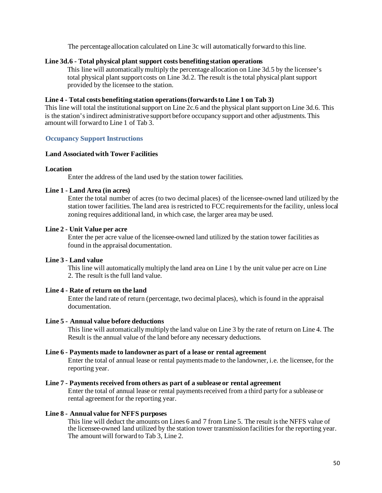The percentage allocation calculated on Line 3c will automatically forward to this line.

### **Line 3d.6 - Total physical plant support costs benefiting station operations**

This line will automaticallymultiply the percentage allocation on Line 3d.5 by the licensee's total physical plant support costs on Line 3d.2. The result is the total physical plant support provided by the licensee to the station.

#### **Line 4 - Total costs benefiting station operations(forwardsto Line 1 on Tab 3)**

This line will total the institutionalsupport on Line 2c.6 and the physical plant support on Line 3d.6. This is the station's indirect administrative support before occupancy support and other adjustments. This amount will forward to Line 1 of Tab 3.

### **Occupancy Support Instructions**

# **Land Associated with Tower Facilities**

#### **Location**

Enter the address of the land used by the station tower facilities.

### **Line 1 - Land Area (in acres)**

Enter the total number of acres (to two decimal places) of the licensee-owned land utilized by the station tower facilities. The land area is restricted to FCC requirementsfor the facility, unlesslocal zoning requires additional land, in which case, the larger area may be used.

# **Line 2 - Unit Value per acre**

Enter the per acre value of the licensee-owned land utilized by the station tower facilities as found in the appraisal documentation.

### **Line 3 - Land value**

This line will automaticallymultiply the land area on Line 1 by the unit value per acre on Line 2. The result is the full land value.

#### **Line 4 - Rate of return on the land**

Enter the land rate of return (percentage, two decimal places), which is found in the appraisal documentation.

#### **Line 5 - Annual value before deductions**

This line will automaticallymultiply the land value on Line 3 by the rate of return on Line 4. The Result is the annual value of the land before any necessary deductions.

#### **Line 6 - Payments made to landowner as part of a lease or rental agreement**

Enter the total of annual lease or rental paymentsmade to the landowner, i.e. the licensee, for the reporting year.

# **Line 7 - Payments received from others as part of a sublease or rental agreement**

Enter the total of annual lease or rental paymentsreceived from a third party for a sublease or rental agreement for the reporting year.

#### **Line 8 - Annual value for NFFS purposes**

This line will deduct the amounts on Lines 6 and 7 from Line 5. The result is the NFFS value of the licensee-owned land utilized by the station tower transmission facilitiesfor the reporting year. The amount will forward to Tab 3, Line 2.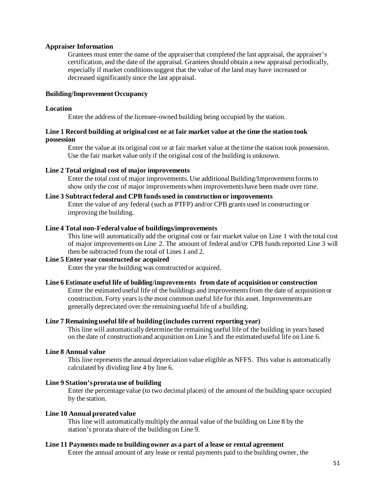#### **Appraiser Information**

Grantees must enter the name of the appraiser that completed the last appraisal, the appraiser's certification, and the date of the appraisal. Grantees should obtain a new appraisal periodically, especially if market conditionssuggest that the value of the land may have increased or decreased significantly since the last appraisal.

#### **Building/Improvement Occupancy**

#### **Location**

Enter the address of the licensee-owned building being occupied by the station.

### **Line 1 Record building at original cost or at fair market value at the time the station took possession**

Enter the value at its original cost or at fair market value at the time the station took possession. Use the fair market value only if the original cost of the building is unknown.

#### **Line 2 Total original cost of major improvements**

Enter the total cost of major improvements. Use additionalBuilding/Improvementformsto show only the cost of major improvementswhen improvementshave been made over time.

### **Line 3 Subtract federal and CPB funds used in construction or improvements**

Enter the value of any federal (such as PTFP) and/or CPB grants used in constructing or improving the building.

#### **Line 4 Total non-Federal value of buildings/improvements**

This line will automatically add the original cost or fair market value on Line 1 with the total cost of major improvements on Line 2. The amount of federal and/or CPB fundsreported Line 3 will then be subtracted from the total of Lines 1 and 2.

## **Line 5 Enter year constructed or acquired**

Enter the year the building was constructed or acquired.

#### **Line 6 Estimate useful life of building/improvements from date of acquisition or construction**

Enter the estimated useful life of the buildings and improvementsfrom the date of acquisition or construction. Forty years is the most common useful life for this asset. Improvements are generally depreciated over the remaining useful life of a building.

#### **Line 7 Remaining useful life of building (includes current reporting year)**

This line will automatically determine the remaining useful life of the building in years based on the date of construction and acquisition on Line 5 and the estimated useful life on Line 6.

#### **Line 8 Annual value**

This line represents the annual depreciation value eligible as NFFS. This value is automatically calculated by dividing line 4 by line 6.

### **Line 9 Station'sprorata use of building**

Enter the percentage value (to two decimal places) of the amount of the building space occupied by the station.

#### **Line 10 Annual prorated value**

This line will automaticallymultiply the annual value of the building on Line 8 by the station's prorata share of the building on Line 9.

## **Line 11 Payments made to building owner as a part of a lease or rental agreement**

Enter the annual amount of any lease or rental payments paid to the building owner, the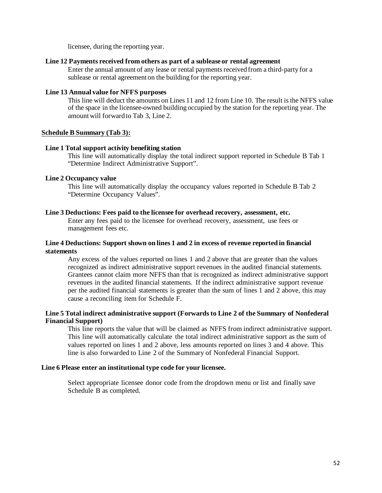licensee, during the reporting year.

### **Line 12 Payments received from others as part of a sublease or rental agreement**

Enter the annual amount of any lease or rental payments received from a third-party for a sublease or rental agreement on the building for the reporting year.

### **Line 13 Annual value for NFFS purposes**

This line will deduct the amounts on Lines 11 and 12 from Line 10. The result is the NFFS value of the space in the licensee-owned building occupied by the station for the reporting year. The amount will forward to Tab 3, Line 2.

## **Schedule B Summary (Tab 3):**

### **Line 1 Total support activity benefiting station**

This line will automatically display the total indirect support reported in Schedule B Tab 1 "Determine Indirect Administrative Support".

### **Line 2 Occupancy value**

This line will automatically display the occupancy values reported in Schedule B Tab 2 "Determine Occupancy Values".

## **Line 3 Deductions: Fees paid to the licensee for overhead recovery, assessment, etc.**

Enter any fees paid to the licensee for overhead recovery, assessment, use fees or management fees etc.

## **Line 4 Deductions: Support shown on lines 1 and 2 in excess of revenue reported in financial statements**

Any excess of the values reported on lines 1 and 2 above that are greater than the values recognized as indirect administrative support revenues in the audited financial statements. Grantees cannot claim more NFFS than that is recognized as indirect administrative support revenues in the audited financial statements. If the indirect administrative support revenue per the audited financial statements is greater than the sum of lines 1 and 2 above, this may cause a reconciling item for Schedule F.

## **Line 5 Total indirect administrative support (Forwards to Line 2 of the Summary of Nonfederal Financial Support)**

This line reports the value that will be claimed as NFFS from indirect administrative support. This line will automatically calculate the total indirect administrative support as the sum of values reported on lines 1 and 2 above, less amounts reported on lines 3 and 4 above. This line is also forwarded to Line 2 of the Summary of Nonfederal Financial Support.

## **Line 6 Please enter an institutional type code for your licensee.**

Select appropriate licensee donor code from the dropdown menu or list and finally save Schedule B as completed.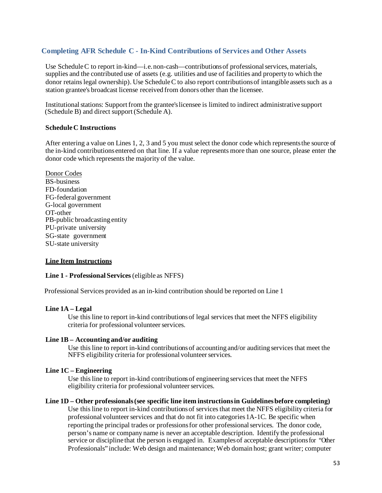# **Completing AFR Schedule C - In-Kind Contributions of Services and Other Assets**

Use Schedule C to report in-kind—i.e. non-cash—contributions of professional services, materials, supplies and the contributed use of assets (e.g. utilities and use of facilities and property to which the donor retains legal ownership). Use Schedule C to also report contributions of intangible assets such as a station grantee's broadcast license received from donors other than the licensee.

Institutionalstations: Supportfrom the grantee'slicensee is limited to indirect administrative support (Schedule B) and direct support(Schedule A).

### **ScheduleC Instructions**

After entering a value on Lines 1, 2, 3 and 5 you must select the donor code which representsthe source of the in-kind contributionsentered on that line. If a value represents more than one source, please enter the donor code which represents the majority of the value.

Donor Codes BS-business FD-foundation FG-federal government G-local government OT-other PB-public broadcasting entity PU-private university SG-state government SU-state university

## **Line Item Instructions**

#### **Line 1 - Professional Services**(eligible as NFFS)

Professional Services provided as an in-kind contribution should be reported on Line 1

#### **Line 1A – Legal**

Use this line to report in-kind contributions of legal services that meet the NFFS eligibility criteria for professional volunteer services.

#### **Line 1B – Accounting and/or auditing**

Use this line to report in-kind contributions of accounting and/or auditing services that meet the NFFS eligibility criteria for professional volunteer services.

### **Line 1C – Engineering**

Use this line to report in-kind contributionsof engineering servicesthat meet the NFFS eligibility criteria for professional volunteer services.

#### **Line 1D – Other professionals(see specific line item instructionsin Guidelinesbefore completing)**

Use this line to report in-kind contributionsof servicesthat meet the NFFS eligibility criteria for professional volunteer services and that do not fit into categories  $1A-1C$ . Be specific when reporting the principal trades or professionsfor other professionalservices. The donor code, person's name or company name is never an acceptable description. Identify the professional service or discipline that the person is engaged in. Examples of acceptable descriptions for "Other Professionals" include: Web design and maintenance;Web domain host; grant writer; computer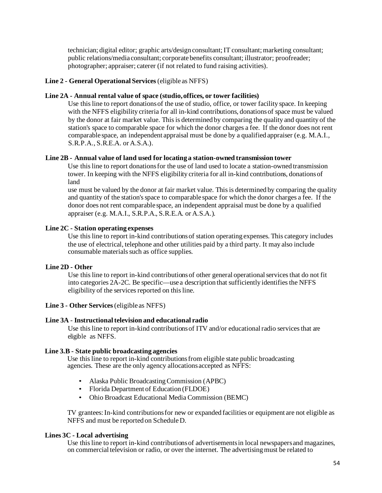technician; digital editor; graphic arts/design consultant; IT consultant; marketing consultant; public relations/media consultant; corporate benefits consultant; illustrator; proofreader; photographer; appraiser; caterer (if not related to fund raising activities).

#### **Line 2 - General Operational Services**(eligible as NFFS)

## **Line 2A - Annual rental value of space (studio,offices, or tower facilities)**

Use this line to report donationsof the use of studio, office, or tower facility space. In keeping with the NFFS eligibility criteria for all in-kind contributions, donationsof space must be valued by the donor at fair market value. Thisis determined by comparing the quality and quantity of the station's space to comparable space for which the donor charges a fee. If the donor does not rent comparable space, an independent appraisal must be done by a qualified appraiser (e.g. M.A.I., S.R.P.A., S.R.E.A. or A.S.A.).

#### **Line 2B - Annual value of land used for locating a station-owned transmission tower**

Use this line to report donationsfor the use of land used to locate a station-owned transmission tower. In keeping with the NFFS eligibility criteria for all in-kind contributions, donationsof land

use must be valued by the donor at fair market value. Thisis determined by comparing the quality and quantity of the station'sspace to comparable space for which the donor charges a fee. If the donor does not rent comparable space, an independent appraisal must be done by a qualified appraiser (e.g. M.A.I., S.R.P.A., S.R.E.A. or A.S.A.).

#### **Line 2C - Station operating expenses**

Use this line to report in-kind contributionsof station operating expenses. This category includes the use of electrical, telephone and other utilities paid by a third party. It may also include consumable materials such as office supplies.

### **Line 2D - Other**

Use this line to report in-kind contributions of other general operational services that do not fit into categories 2A-2C. Be specific—use a description that sufficiently identifies the NFFS eligibility of the services reported on this line.

### **Line 3 - Other Services**(eligible as NFFS)

#### **Line 3A** - **Instructionaltelevision and educational radio**

Use this line to report in-kind contributions of ITV and/or educational radio services that are eligible as NFFS.

#### **Line 3.B - State public broadcasting agencies**

Use this line to report in-kind contributionsfrom eligible state public broadcasting agencies. These are the only agency allocationsaccepted as NFFS:

- Alaska Public Broadcasting Commission (APBC)
- Florida Department of Education (FLDOE)
- Ohio Broadcast Educational Media Commission (BEMC)

TV grantees:In-kind contributionsfor new or expanded facilities or equipment are not eligible as NFFS and must be reported on ScheduleD.

#### **Lines 3C - Local advertising**

Use this line to report in-kind contributions of advertisements in local newspapers and magazines, on commercial television or radio, or over the internet. The advertisingmust be related to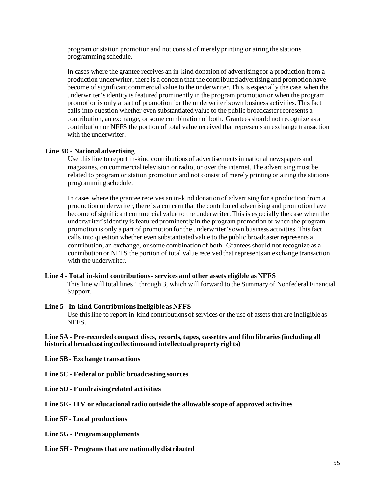program or station promotion and not consist of merely printing or airing the station's programming schedule.

In cases where the grantee receives an in-kind donation of advertising for a production from a production underwriter, there is a concern that the contributed advertising and promotion have become of significant commercial value to the underwriter. Thisis especially the case when the underwriter'sidentity is featured prominently in the program promotion or when the program promotion is only a part of promotion for the underwriter's own business activities. This fact calls into question whether even substantiated value to the public broadcasterrepresents a contribution, an exchange, or some combination of both. Grantees should not recognize as a contribution or NFFS the portion of total value received that represents an exchange transaction with the underwriter.

#### **Line 3D - National advertising**

Use this line to report in-kind contributions of advertisements in national newspapers and magazines, on commercial television or radio, or over the internet. The advertisingmust be related to program or station promotion and not consist of merely printing or airing the station's programming schedule.

In cases where the grantee receives an in-kind donation of advertising for a production from a production underwriter, there is a concern that the contributed advertising and promotion have become of significant commercial value to the underwriter. Thisis especially the case when the underwriter'sidentity is featured prominently in the program promotion or when the program promotion is only a part of promotion for the underwriter'sown business activities. Thisfact calls into question whether even substantiated value to the public broadcasterrepresents a contribution, an exchange, or some combination of both. Grantees should not recognize as a contribution or NFFS the portion of total value received that represents an exchange transaction with the underwriter.

#### **Line 4 - Total in-kind contributions- services and other assets eligible as NFFS**

This line will total lines 1 through 3, which will forward to the Summary of Nonfederal Financial Support.

#### **Line 5 - In-kind ContributionsIneligible as NFFS**

Use this line to report in-kind contributionsof services or the use of assets that are ineligible as NFFS.

#### **Line 5A - Pre-recorded compact discs, records, tapes, cassettes and film libraries(including all historical broadcasting collectionsand intellectual property rights)**

**Line 5B - Exchange transactions**

**Line 5C - Federal or public broadcasting sources**

**Line 5D - Fundraising related activities**

#### **Line 5E - ITV or educational radio outside the allowable scope of approved activities**

**Line 5F - Local productions**

**Line 5G - Program supplements**

**Line 5H - Programsthat are nationally distributed**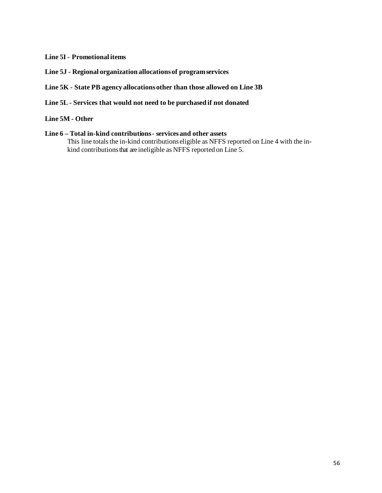# **Line 5I- Promotional items**

- **Line 5J - Regional organization allocationsof programservices**
- **Line 5K - State PB agency allocationsother than those allowed on Line 3B**
- **Line 5L - Services that would not need to be purchased if not donated**

# **Line 5M - Other**

**Line 6 – Total in-kind contributions- servicesand other assets** This line totals the in-kind contributions eligible as NFFS reported on Line 4 with the inkind contributions that are ineligible as NFFS reported on Line 5.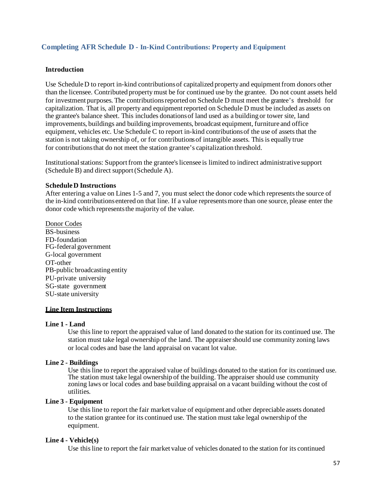# **Completing AFR Schedule D - In-Kind Contributions: Property and Equipment**

#### **Introduction**

Use Schedule D to report in-kind contributions of capitalized property and equipment from donors other than the licensee. Contributed propertymust be for continued use by the grantee. Do not count assets held for investment purposes. The contributionsreported on Schedule D must meet the grantee's threshold for capitalization. That is, all property and equipmentreported on Schedule D must be included as assets on the grantee's balance sheet. This includes donationsof land used as a building or tower site, land improvements, buildings and building improvements, broadcast equipment, furniture and office equipment, vehicles etc. Use Schedule C to report in-kind contributionsof the use of assetsthat the station is not taking ownership of, or for contributionsof intangible assets. Thisis equally true for contributionsthat do not meet the station grantee's capitalization threshold.

Institutionalstations: Supportfrom the grantee'slicensee is limited to indirect administrative support (Schedule B) and direct support(Schedule A).

#### **ScheduleD Instructions**

After entering a value on Lines 1-5 and 7, you must select the donor code which represents the source of the in-kind contributionsentered on that line. If a value representsmore than one source, please enter the donor code which represents the majority of the value.

Donor Codes BS-business FD-foundation FG-federal government G-local government OT-other PB-public broadcasting entity PU-private university SG-state government SU-state university

# **Line Item Instructions**

#### **Line 1 - Land**

Use this line to report the appraised value of land donated to the station for its continued use. The station must take legal ownership of the land. The appraisershould use community zoning laws or local codes and base the land appraisal on vacant lot value.

### **Line 2 - Buildings**

Use this line to report the appraised value of buildings donated to the station for its continued use. The station must take legal ownership of the building. The appraiser should use community zoning laws or local codes and base building appraisal on a vacant building without the cost of utilities.

# **Line 3 - Equipment**

Use this line to report the fair market value of equipment and other depreciable assets donated to the station grantee for its continued use. The station must take legal ownership of the equipment.

#### **Line 4 - Vehicle(s)**

Use this line to report the fair market value of vehicles donated to the station for its continued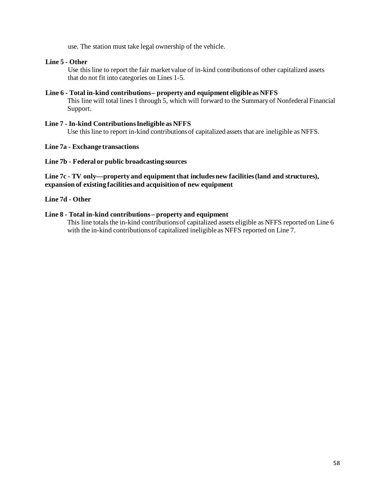use. The station must take legal ownership of the vehicle.

## **Line 5 - Other**

Use this line to report the fair market value of in-kind contributionsof other capitalized assets that do not fit into categories on Lines 1-5.

## **Line 6 - Total in-kind contributions– property and equipment eligible as NFFS**

This line will total lines 1 through 5, which will forward to the Summary of Nonfederal Financial Support.

## **Line 7 - In-kind ContributionsIneligible as NFFS** Use this line to report in-kind contributions of capitalized assets that are ineligible as NFFS.

### **Line 7a - Exchange transactions**

### **Line 7b - Federal or public broadcasting sources**

# **Line 7c - TV only—property and equipment that includesnew facilities(land and structures), expansion of existing facilitiesand acquisition of new equipment**

## **Line 7d - Other**

### **Line 8 - Total in-kind contributions– property and equipment**

This line totals the in-kind contributions of capitalized assets eligible as NFFS reported on Line 6 with the in-kind contributions of capitalized ineligible as NFFS reported on Line 7.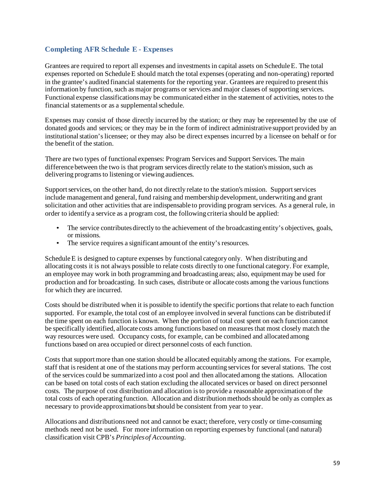# **Completing AFR Schedule E - Expenses**

Grantees are required to report all expenses and investmentsin capital assets on ScheduleE. The total expenses reported on ScheduleE should match the total expenses(operating and non-operating) reported in the grantee's audited financial statements for the reporting year. Grantees are required to present this information by function, such as major programs or services and major classes of supporting services. Functional expense classifications may be communicated either in the statement of activities, notes to the financial statements or as a supplemental schedule.

Expenses may consist of those directly incurred by the station; or they may be represented by the use of donated goods and services; or they may be in the form of indirect administrative support provided by an institutional station's licensee; or they may also be direct expenses incurred by a licensee on behalf or for the benefit of the station.

There are two types of functional expenses: Program Services and Support Services. The main difference between the two is that program services directly relate to the station's mission, such as delivering programs to listening or viewing audiences.

Supportservices, on the other hand, do not directly relate to the station's mission. Supportservices include management and general, fund raising and membership development, underwriting and grant solicitation and other activities that are indispensable to providing program services. As a general rule, in order to identify a service as a program cost, the following criteria should be applied:

- The service contributes directly to the achievement of the broadcasting entity's objectives, goals, or missions.
- The service requires a significant amount of the entity's resources.

Schedule E is designed to capture expenses by functional category only. When distributing and allocating costs it is not always possible to relate costs directly to one functional category. For example, an employee may work in both programming and broadcasting areas; also, equipment may be used for production and for broadcasting. In such cases, distribute or allocate costs among the variousfunctions for which they are incurred.

Costs should be distributed when it is possible to identify the specific portions that relate to each function supported. For example, the total cost of an employee involved in several functions can be distributed if the time spent on each function is known. When the portion of total cost spent on each function cannot be specifically identified, allocate costs among functions based on measures that most closely match the way resources were used. Occupancy costs, for example, can be combined and allocated among functions based on area occupied or direct personnel costs of each function.

Costs that supportmore than one station should be allocated equitably among the stations. For example, staff that is resident at one of the stations may perform accounting servicesfor several stations. The cost of the services could be summarized into a cost pool and then allocated among the stations. Allocation can be based on total costs of each station excluding the allocated services or based on direct personnel costs. The purpose of cost distribution and allocation is to provide a reasonable approximation of the total costs of each operating function. Allocation and distribution methods should be only as complex as necessary to provide approximationsbutshould be consistent from year to year.

Allocations and distributionsneed not and cannot be exact; therefore, very costly or time-consuming methods need not be used. For more information on reporting expenses by functional (and natural) classification visit CPB's *Principlesof Accounting*.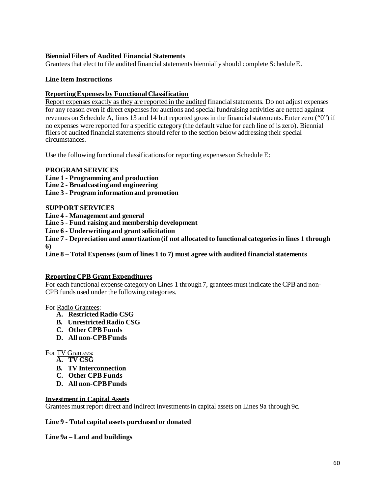# **BiennialFilers of Audited Financial Statements**

Grantees that elect to file audited financial statements biennially should complete Schedule E.

# **Line Item Instructions**

# **ReportingExpenses by Functional Classification**

Report expenses exactly as they are reported in the audited financialstatements. Do not adjust expenses for any reason even if direct expenses for auctions and special fundraising activities are netted against revenues on Schedule A, lines 13 and 14 but reported grossin the financialstatements. Enter zero ("0") if no expenses were reported for a specific category (the default value for each line of is zero). Biennial filers of audited financial statements should refer to the section below addressing their special circumstances.

Use the following functional classifications for reporting expenses on Schedule E:

## **PROGRAM SERVICES**

**Line 1 - Programming and production**

**Line 2 - Broadcasting and engineering**

**Line 3 - Program information and promotion**

## **SUPPORT SERVICES**

**Line 4 - Management and general**

**Line 5 - Fund raising and membership development**

**Line 6 - Underwriting and grant solicitation**

**Line 7 - Depreciation and amortization (if not allocated to functional categoriesin lines 1 through 6)**

**Line 8 – Total Expenses (sum of lines 1 to 7) must agree with audited financialstatements**

## **ReportingCPB Grant Expenditures**

For each functional expense category on Lines 1 through 7, grantees must indicate the CPB and non-CPB funds used under the following categories.

For Radio Grantees:

- **A. Restricted Radio CSG**
- **B. Unrestricted Radio CSG**
- **C. Other CPB Funds**
- **D. All non-CPBFunds**

## For TV Grantees:

- **A. TV CSG**
- **B. TV Interconnection**
- **C. Other CPB Funds**
- **D. All non-CPBFunds**

## **Investment in Capital Assets**

Grantees must report direct and indirect investmentsin capital assets on Lines 9a through 9c.

## **Line 9 - Total capital assets purchased or donated**

## **Line 9a – Land and buildings**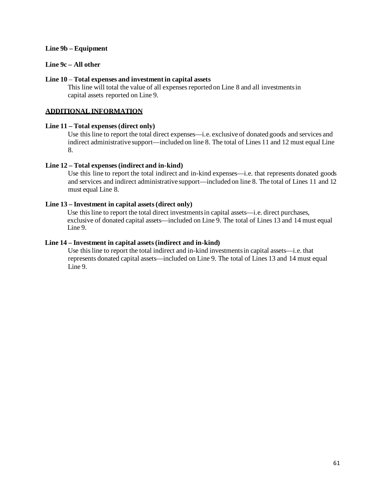## **Line 9b – Equipment**

# **Line 9c – All other**

## **Line 10** – **Total expenses and investment in capital assets**

This line will total the value of all expenses reported on Line 8 and all investments in capital assets reported on Line 9.

# **ADDITIONAL INFORMATION**

## **Line 11 – Total expenses(direct only)**

Use this line to report the total direct expenses—i.e. exclusive of donated goods and services and indirect administrative support—included on line 8. The total of Lines 11 and 12 must equal Line 8.

## **Line 12 – Total expenses(indirect and in-kind)**

Use this line to report the total indirect and in-kind expenses—i.e. that represents donated goods and services and indirect administrative support—included on line 8. The total of Lines 11 and 12 must equal Line 8.

# **Line 13 – Investment in capital assets(direct only)**

Use this line to report the total direct investmentsin capital assets—i.e. direct purchases, exclusive of donated capital assets—included on Line 9. The total of Lines 13 and 14 must equal Line 9.

### **Line 14 – Investment in capital assets(indirect and in-kind)**

Use this line to report the total indirect and in-kind investmentsin capital assets—i.e. that represents donated capital assets—included on Line 9. The total of Lines 13 and 14 must equal Line 9.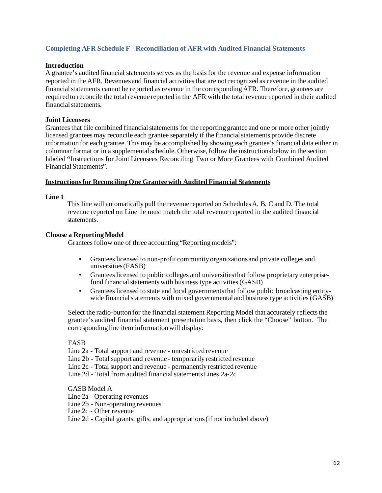# **Completing AFR Schedule F - Reconciliation of AFR with Audited Financial Statements**

### **Introduction**

A grantee's audited financial statementsserves as the basisfor the revenue and expense information reported in the AFR. Revenues and financial activities that are not recognized as revenue in the audited financial statements cannot be reported as revenue in the corresponding AFR. Therefore, grantees are required to reconcile the total revenue reported in the AFR with the total revenue reported in their audited financial statements.

## **Joint Licensees**

Grantees that file combined financial statements for the reporting grantee and one or more other jointly licensed grantees may reconcile each grantee separately if the financial statements provide discrete information for each grantee. This may be accomplished by showing each grantee'sfinancial data either in columnar format or in a supplemental schedule. Otherwise, follow the instructions below in the section labeled **"**Instructions for Joint Licensees Reconciling Two or More Grantees with Combined Audited Financial Statements".

### **Instructionsfor ReconcilingOne Granteewith Audited Financial Statements**

### **Line 1**

This line will automatically pull the revenue reported on SchedulesA, B, C and D. The total revenue reported on Line 1e must match the total revenue reported in the audited financial statements.

### **Choose a ReportingModel**

Grantees follow one of three accounting "Reporting models":

- Granteeslicensed to non-profit community organizations and private colleges and universities(FASB)
- Granteeslicensed to public colleges and universitiesthat follow proprietary enterprisefund financial statements with business type activities (GASB)
- Granteeslicensed to state and local governmentsthat follow public broadcasting entitywide financial statements with mixed governmental and business type activities  $(GASB)$

Select the radio-button for the financial statement Reporting Model that accurately reflects the grantee's audited financial statement presentation basis, then click the "Choose" button. The corresponding line item informationwill display:

### FASB

Line 2a - Total support and revenue - unrestricted revenue

Line 2b - Total support and revenue - temporarily restricted revenue

- Line 2c Total support and revenue permanently restricted revenue
- Line 2d Total from audited financial statements Lines  $2a-2c$

#### GASB Model A

- Line 2a Operating revenues
- Line 2b Non-operating revenues
- Line 2c Other revenue

Line 2d - Capital grants, gifts, and appropriations(if not included above)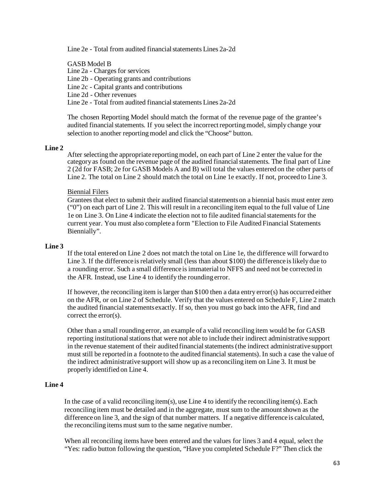Line 2e - Total from audited financial statements Lines 2a-2d

GASB Model B

Line 2a - Charges for services

Line 2b - Operating grants and contributions

Line 2c - Capital grants and contributions

Line 2d - Other revenues

Line 2e - Total from audited financialstatements Lines 2a-2d

The chosen Reporting Model should match the format of the revenue page of the grantee's audited financial statements. If you select the incorrect reporting model, simply change your selection to another reporting model and click the "Choose" button.

#### **Line 2**

After selecting the appropriate reportingmodel, on each part of Line 2 enter the value for the category as found on the revenue page of the audited financialstatements. The final part of Line 2 (2d for FASB; 2e for GASB Models A and B) will total the values entered on the other parts of Line 2. The total on Line 2 should match the total on Line 1e exactly. If not, proceed to Line 3.

#### Biennial Filers

Grantees that elect to submit their audited financial statements on a biennial basis must enter zero ("0") on each part of Line 2. This will result in a reconciling item equal to the full value of Line 1e on Line 3. On Line 4 indicate the election not to file audited financialstatementsfor the current year. You must also complete a form "Election to File Audited Financial Statements Biennially".

#### **Line 3**

If the total entered on Line 2 does not match the total on Line 1e, the difference will forward to Line 3. If the difference is relatively small (less than about \$100) the difference is likely due to a rounding error. Such a small difference is immaterial to NFFS and need not be corrected in the AFR. Instead, use Line 4 to identify the rounding error.

If however, the reconciling item is larger than \$100 then a data entry error(s) has occurred either on the AFR, or on Line 2 of Schedule. Verify that the values entered on Schedule F, Line 2 match the audited financial statementsexactly. If so, then you must go back into the AFR, find and correct the error(s).

Other than a small rounding error, an example of a valid reconciling item would be for GASB reporting institutional stations that were not able to include their indirect administrative support in the revenue statement of their audited financial statements (the indirect administrative support must still be reported in a footnote to the audited financial statements). In such a case the value of the indirect administrative support will show up as a reconciling item on Line 3. It must be properly identified on Line 4.

#### **Line 4**

In the case of a valid reconciling item(s), use Line 4 to identify the reconciling item(s). Each reconciling item must be detailed and in the aggregate, must sum to the amount shown as the difference on line 3, and the sign of that number matters. If a negative difference is calculated, the reconciling items must sum to the same negative number.

When all reconciling items have been entered and the values for lines 3 and 4 equal, select the "Yes: radio button following the question, "Have you completed Schedule F?" Then click the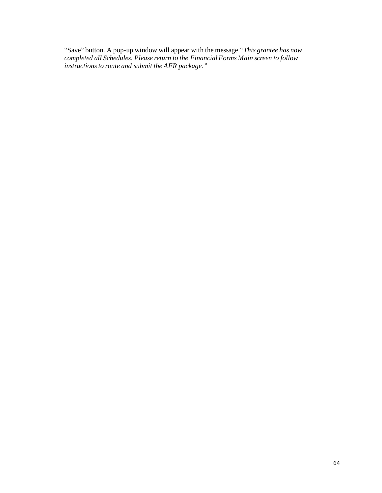"Save" button. A pop-up window will appear with the message *"This grantee has now completed all Schedules. Please return to the FinancialForms Main screen to follow instructionsto route and submit the AFR package."*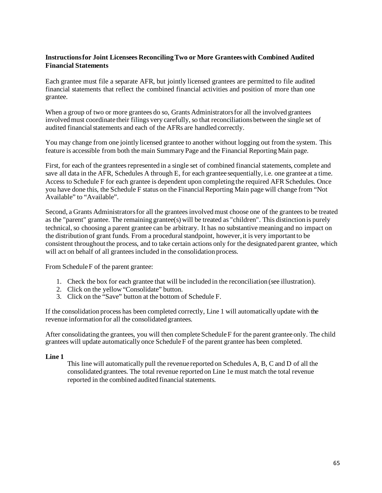# **Instructionsfor Joint Licensees ReconcilingTwo or More Granteeswith Combined Audited Financial Statements**

Each grantee must file a separate AFR, but jointly licensed grantees are permitted to file audited financial statements that reflect the combined financial activities and position of more than one grantee.

When a group of two or more grantees do so, Grants Administrators for all the involved grantees involved must coordinate their filings very carefully, so that reconciliations between the single set of audited financial statements and each of the AFRs are handled correctly.

You may change from one jointly licensed grantee to another without logging out from the system. This feature is accessible from both the main Summary Page and the Financial ReportingMain page.

First, for each of the grantees represented in a single set of combined financial statements, complete and save all data in the AFR, Schedules A through E, for each grantee sequentially, i.e. one grantee at a time. Access to Schedule F for each grantee is dependent upon completing the required AFR Schedules. Once you have done this, the Schedule F status on the Financial Reporting Main page will change from "Not Available" to "Available".

Second, a Grants Administrators for all the grantees involved must choose one of the grantees to be treated as the "parent" grantee. The remaining grantee(s) will be treated as "children". This distinction is purely technical,so choosing a parent grantee can be arbitrary. It has no substantive meaning and no impact on the distribution of grant funds. From a procedural standpoint, however, it is very important to be consistent throughout the process, and to take certain actions only for the designated parent grantee, which will act on behalf of all grantees included in the consolidation process.

From Schedule F of the parent grantee:

- 1. Check the box for each grantee that will be included in the reconciliation (see illustration).
- 2. Click on the yellow"Consolidate" button.
- 3. Click on the "Save" button at the bottom of Schedule F.

If the consolidation process has been completed correctly, Line 1 will automatically update with the revenue information for all the consolidated grantees.

After consolidating the grantees, you will then complete Schedule  $F$  for the parent grantee only. The child grantees will update automatically once ScheduleF of the parent grantee has been completed.

#### **Line 1**

This line will automatically pull the revenue reported on Schedules A, B, C and D of all the consolidated grantees. The total revenue reported on Line 1e must match the total revenue reported in the combined audited financial statements.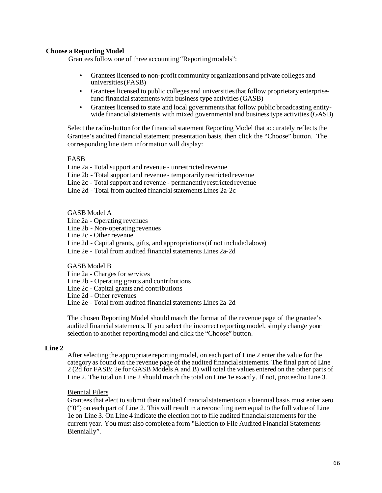## **Choose a ReportingModel**

Grantees follow one of three accounting "Reporting models":

- Grantees licensed to non-profit community organizations and private colleges and universities(FASB)
- Granteeslicensed to public colleges and universitiesthat follow proprietary enterprisefund financial statements with business type activities (GASB)
- Granteeslicensed to state and local governmentsthat follow public broadcasting entitywide financial statements with mixed governmental and business type activities (GASB)

Select the radio-button for the financial statement Reporting Model that accurately reflects the Grantee's audited financial statement presentation basis, then click the "Choose" button. The corresponding line item information will display:

FASB

Line 2a - Total support and revenue - unrestricted revenue

Line 2b - Total support and revenue - temporarily restricted revenue

Line 2c - Total support and revenue - permanently restricted revenue

Line 2d - Total from audited financial statements Lines 2a-2c

#### GASB Model A

- Line 2a Operating revenues
- Line 2b Non-operating revenues

Line 2c - Other revenue

Line 2d - Capital grants, gifts, and appropriations(if not included above)

Line 2e - Total from audited financialstatements Lines 2a-2d

#### GASB Model B

- Line 2a Charges for services
- Line 2b Operating grants and contributions
- Line 2c Capital grants and contributions

Line 2d - Other revenues

Line 2e - Total from audited financialstatements Lines 2a-2d

The chosen Reporting Model should match the format of the revenue page of the grantee's audited financial statements. If you select the incorrect reporting model, simply change your selection to another reportingmodel and click the "Choose" button.

#### **Line 2**

After selecting the appropriate reportingmodel, on each part of Line 2 enter the value for the category as found on the revenue page of the audited financialstatements. The final part of Line 2 (2d for FASB; 2e for GASB Models A and B) will total the values entered on the other parts of Line 2. The total on Line 2 should match the total on Line 1e exactly. If not, proceed to Line 3.

#### Biennial Filers

Grantees that elect to submit their audited financial statements on a biennial basis must enter zero ("0") on each part of Line 2. This will result in a reconciling item equal to the full value of Line 1e on Line 3. On Line 4 indicate the election not to file audited financialstatementsfor the current year. You must also complete a form "Election to File Audited Financial Statements Biennially".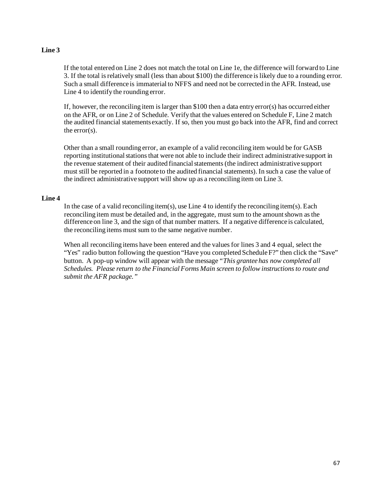# **Line 3**

If the total entered on Line 2 does not match the total on Line 1e, the difference will forward to Line 3. If the total is relatively small (less than about \$100) the difference islikely due to a rounding error. Such a small difference is immaterial to NFFS and need not be corrected in the AFR. Instead, use Line 4 to identify the rounding error.

If, however, the reconciling item is larger than \$100 then a data entry error(s) has occurred either on the AFR, or on Line 2 of Schedule. Verify that the values entered on Schedule F, Line 2 match the audited financial statementsexactly. If so, then you must go back into the AFR, find and correct the error(s).

Other than a small rounding error, an example of a valid reconciling item would be for GASB reporting institutional stations that were not able to include their indirect administrative support in the revenue statement of their audited financialstatements(the indirect administrative support must still be reported in a footnote to the audited financial statements). In such a case the value of the indirect administrative support will show up as a reconciling item on Line 3.

## **Line 4**

In the case of a valid reconciling item(s), use Line 4 to identify the reconciling item(s). Each reconciling item must be detailed and, in the aggregate, must sum to the amount shown as the difference on line 3, and the sign of that number matters. If a negative difference is calculated, the reconciling items must sum to the same negative number.

When all reconciling items have been entered and the values for lines 3 and 4 equal, select the "Yes" radio button following the question "Have you completed Schedule F?" then click the "Save" button. A pop-up window will appear with the message*"This grantee has now completed all Schedules. Please return to the FinancialForms Main screen to follow instructionsto route and submit the AFR package."*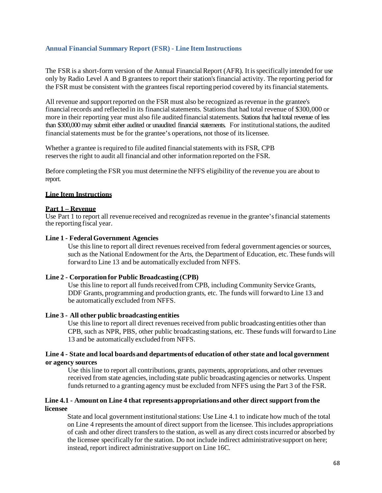## **Annual Financial Summary Report (FSR) - Line Item Instructions**

The FSR is a short-form version of the Annual Financial Report (AFR). It is specifically intended for use only by Radio Level A and B grantees to report their station'sfinancial activity. The reporting period for the FSR must be consistent with the grantees fiscal reporting period covered by its financial statements.

All revenue and support reported on the FSR must also be recognized as revenue in the grantee's financial records and reflected in its financial statements. Stations that had total revenue of \$300,000 or more in their reporting year must also file audited financial statements. Stations that had total revenue of less than \$300,000 may submit either audited or unaudited financial statements. For institutional stations, the audited financial statements must be for the grantee's operations, not those of its licensee.

Whether a grantee is required to file audited financial statements with its FSR, CPB reservesthe right to audit all financial and other information reported on the FSR.

Before completing the FSR you must determine the NFFS eligibility of the revenue you are about to report.

#### **Line Item Instructions**

#### **Part 1 – Revenue**

Use Part 1 to report all revenue received and recognized as revenue in the grantee'sfinancial statements the reporting fiscal year.

#### **Line 1 - FederalGovernment Agencies**

Use this line to report all direct revenues received from federal government agencies or sources, such as the National Endowment for the Arts, the Department of Education, etc. These funds will forward to Line 13 and be automatically excluded from NFFS.

#### **Line 2 - Corporation for Public Broadcasting (CPB)**

Use this line to report all funds received from CPB, including Community Service Grants, DDF Grants, programming and production grants, etc. The funds will forward to Line 13 and be automatically excluded from NFFS.

#### **Line 3 - All other public broadcasting entities**

Use this line to report all direct revenues received from public broadcasting entities other than CPB, such as NPR, PBS, other public broadcasting stations, etc. These funds will forward to Line 13 and be automatically excluded from NFFS.

### **Line 4 - State and local boardsand departmentsof education of other state and local government or agency sources**

Use thisline to report all contributions, grants, payments, appropriations, and other revenues received from state agencies, including state public broadcasting agencies or networks. Unspent funds returned to a granting agency must be excluded from NFFS using the Part 3 of the FSR.

### **Line 4.1 - Amount on Line 4 that representsappropriationsand other direct support from the licensee**

State and local government institutional stations: Use Line 4.1 to indicate how much of the total on Line 4 represents the amount of direct support from the licensee. This includes appropriations of cash and other direct transfersto the station, as well as any direct costsincurred or absorbed by the licensee specifically for the station. Do not include indirect administrative support on here; instead, report indirect administrative support on Line 16C.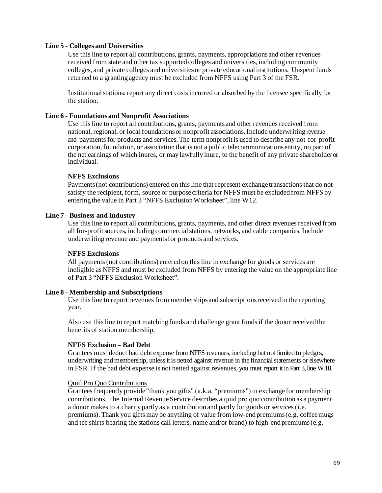### **Line 5 - Colleges and Universities**

Use this line to report all contributions, grants, payments, appropriations and other revenues received from state and other tax supported colleges and universities, including community colleges, and private colleges and universitiesor private educational institutions. Unspent funds returned to a granting agency must be excluded from NFFS using Part 3 of the FSR.

Institutionalstations:report any direct costsincurred or absorbed by the licensee specifically for the station.

#### **Line 6 - Foundationsand Nonprofit Associations**

Use this line to report all contributions, grants, payments and other revenues received from national, regional, or local foundations or nonprofit associations. Include underwriting revenue and paymentsfor products and services. The term nonprofit is used to describe any not-for-profit corporation, foundation, or association that is not a public telecommunications entity, no part of the net earnings of which inures, or may lawfully inure, to the benefit of any private shareholder or individual.

#### **NFFS Exclusions**

Payments (not contributions) entered on this line that represent exchange transactions that do not satisfy the recipient, form, source or purpose criteria for NFFS must be excluded from NFFS by entering the value in Part 3 "NFFS ExclusionWorksheet", line W12.

### **Line 7 - Business and Industry**

Use this line to report all contributions, grants, payments, and other direct revenues received from all for-profitsources, including commercialstations, networks, and cable companies. Include underwriting revenue and paymentsfor products and services.

#### **NFFS Exclusions**

All payments (not contributions) entered on this line in exchange for goods or services are ineligible as NFFS and must be excluded from NFFS by entering the value on the appropriate line of Part 3 "NFFS Exclusion Worksheet".

#### **Line 8 - Membership and Subscriptions**

Use this line to report revenues from memberships and subscriptions received in the reporting year.

Also use this line to report matching funds and challenge grant funds if the donor received the benefits of station membership.

#### **NFFS Exclusion – Bad Debt**

Grantees must deduct bad debt expense from NFFS revenues, including but not limited to pledges, underwriting and membership, unless it is netted against revenue in the financial statements or elsewhere in FSR. If the bad debt expense is not netted against revenues, you must report it in Part 3, line W.18.

#### Quid Pro Quo Contributions

Grantees frequently provide "thank you gifts" (a.k.a. "premiums") in exchange for membership contributions. The Internal Revenue Service describes a quid pro quo contribution as a payment a donor makesto a charity partly as a contribution and partly for goods or services(i.e. premiums). Thank you gifts may be anything of value from low-end premiums(e.g. coffeemugs and tee shirts bearing the stations call letters, name and/or brand) to high-end premiums(e.g.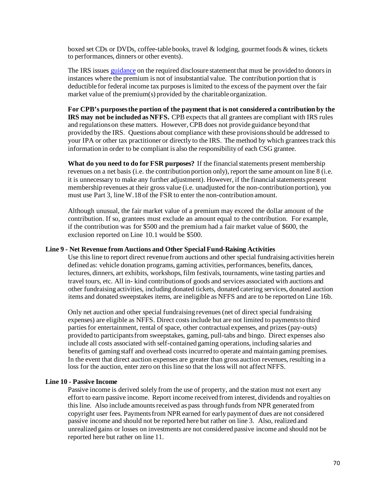boxed set CDs or DVDs, coffee-table books, travel  $\&$  lodging, gourmet foods  $\&$  wines, tickets to performances, dinners or other events).

The IRS issues [guidance](https://www.irs.gov/pub/irs-pdf/p1771.pdf) on the required disclosure statement that must be provided to donors in instances where the premium is not of insubstantial value. The contribution portion that is deductible for federal income tax purposesis limited to the excess of the payment over the fair market value of the premium(s) provided by the charitable organization.

**For CPB's purposesthe portion of the payment that is not considered a contribution by the IRS may not be included as NFFS.** CPB expects that all grantees are compliant with IRS rules and regulationson these matters. However, CPB does not provide guidance beyond that provided by the IRS. Questions about compliance with these provisionsshould be addressed to your IPA or other tax practitioner or directly to the IRS. The method by which grantees track this information in order to be compliant is also the responsibility of each CSG grantee.

**What do you need to do for FSR purposes?** If the financialstatements present membership revenues on a net basis (i.e. the contribution portion only), report the same amount on line 8 (i.e. it is unnecessary to make any further adjustment). However, if the financial statements present membership revenues at their gross value (i.e. unadjusted for the non-contribution portion), you must use Part 3, lineW.18 of the FSR to enter the non-contribution amount.

Although unusual, the fair market value of a premium may exceed the dollar amount of the contribution. If so, grantees must exclude an amount equal to the contribution. For example, if the contribution was for \$500 and the premium had a fair market value of \$600, the exclusion reported on Line 10.1 would be \$500.

#### **Line 9 - Net Revenue from Auctions and Other SpecialFund-Raising Activities**

Use this line to report direct revenue from auctions and other special fundraising activities herein defined as: vehicle donation programs, gaming activities, performances, benefits, dances, lectures, dinners, art exhibits, workshops, film festivals, tournaments, wine tasting parties and travel tours, etc. All in- kind contributionsof goods and services associated with auctions and other fundraising activities, including donated tickets, donated catering services, donated auction items and donated sweepstakes items, are ineligible as NFFS and are to be reported on Line 16b.

Only net auction and other special fundraising revenues(net of direct special fundraising expenses) are eligible as NFFS. Direct costsinclude but are not limited to paymentsto third parties for entertainment, rental of space, other contractual expenses, and prizes (pay-outs) provided to participantsfrom sweepstakes, gaming, pull-tabs and bingo. Direct expenses also include all costs associated with self-contained gaming operations, including salaries and benefits of gaming staff and overhead costs incurred to operate and maintain gaming premises. In the event that direct auction expenses are greater than gross auction revenues, resulting in a loss for the auction, enter zero on this line so that the loss will not affect NFFS.

#### **Line 10 - Passive Income**

Passive income is derived solely from the use of property, and the station must not exert any effort to earn passive income. Report income received from interest, dividends and royalties on this line. Also include amounts received as pass through funds from NPR generated from copyright user fees. Paymentsfrom NPR earned for early payment of dues are not considered passive income and should not be reported here but rather on line 3. Also, realized and unrealized gains or losses on investments are not considered passive income and should not be reported here but rather on line 11.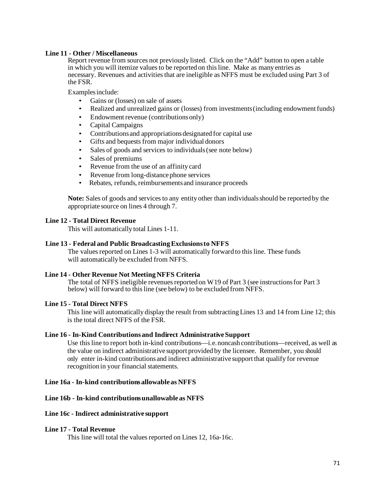### **Line 11 - Other / Miscellaneous**

Report revenue from sources not previously listed. Click on the "Add" button to open a table in which you will itemize values to be reported on this line. Make as many entries as necessary. Revenues and activities that are ineligible as NFFS must be excluded using Part 3 of the FSR.

Examplesinclude:

- Gains or (losses) on sale of assets
- Realized and unrealized gains or (losses) from investments (including endowment funds)
- Endowment revenue (contributions only)
- Capital Campaigns
- Contributions and appropriations designated for capital use
- Gifts and bequests from major individual donors
- Sales of goods and services to individuals (see note below)
- Sales of premiums
- Revenue from the use of an affinity card
- Revenue from long-distance phone services
- Rebates, refunds, reimbursements and insurance proceeds

Note: Sales of goods and services to any entity other than individuals should be reported by the appropriate source on lines 4 through 7.

### **Line 12 - Total Direct Revenue**

This will automatically total Lines 1-11.

#### **Line 13 - Federal and Public BroadcastingExclusionsto NFFS**

The values reported on Lines 1-3 will automatically forward to this line. These funds will automatically be excluded from NFFS.

#### **Line 14 - Other Revenue Not MeetingNFFS Criteria**

The total of NFFS ineligible revenues reported on W19 of Part 3 (see instructions for Part 3 below) will forward to this line (see below) to be excluded from NFFS.

### **Line 15 - Total Direct NFFS**

This line will automatically display the result from subtractingLines 13 and 14 from Line 12; this is the total direct NFFS of the FSR.

#### **Line 16 - In-Kind Contributionsand Indirect AdministrativeSupport**

Use this line to report both in-kind contributions—i.e.noncash contributions—received, as well as the value on indirect administrative support provided by the licensee. Remember, you should only enter in-kind contributions and indirect administrative support that qualify for revenue recognition in your financial statements.

### **Line 16a - In-kind contributionsallowable as NFFS**

### **Line 16b - In-kind contributionsunallowable as NFFS**

#### **Line 16c - Indirect administrative support**

#### **Line 17 - Total Revenue**

This line will total the values reported on Lines 12, 16a-16c.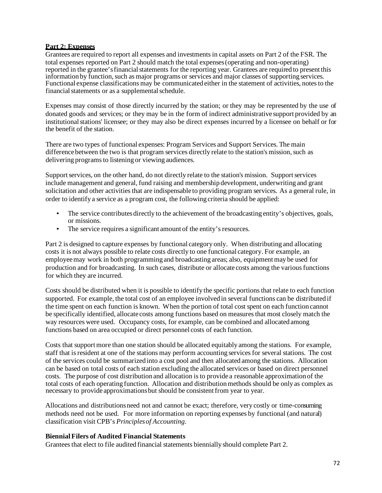# **Part 2: Expenses**

Grantees are required to report all expenses and investmentsin capital assets on Part 2 of the FSR. The total expenses reported on Part 2 should match the total expenses(operating and non-operating) reported in the grantee's financial statements for the reporting year. Grantees are required to present this information by function,such as major programs or services and major classes of supporting services. Functional expense classifications may be communicated either in the statement of activities, notes to the financial statements or as a supplemental schedule.

Expenses may consist of those directly incurred by the station; or they may be represented by the use of donated goods and services; or they may be in the form of indirect administrative support provided by an institutional stations' licensee; or they may also be direct expenses incurred by a licensee on behalf or for the benefit of the station.

There are two types of functional expenses: Program Services and Support Services. The main difference between the two is that program services directly relate to the station's mission, such as delivering programs to listening or viewing audiences.

Support services, on the other hand, do not directly relate to the station's mission. Support services include management and general, fund raising and membership development, underwriting and grant solicitation and other activities that are indispensable to providing program services. As a general rule, in order to identify a service as a program cost, the following criteria should be applied:

- The service contributes directly to the achievement of the broadcasting entity's objectives, goals, or missions.
- The service requires a significant amount of the entity's resources.

Part 2 is designed to capture expenses by functional category only. When distributing and allocating costs it is not always possible to relate costs directly to one functional category. For example, an employee may work in both programming and broadcasting areas; also, equipment may be used for production and for broadcasting. In such cases, distribute or allocate costs among the variousfunctions for which they are incurred.

Costs should be distributed when it is possible to identify the specific portionsthat relate to each function supported. For example, the total cost of an employee involved in several functions can be distributed if the time spent on each function is known. When the portion of total cost spent on each function cannot be specifically identified, allocate costs among functions based on measuresthat most closely match the way resources were used. Occupancy costs, for example, can be combined and allocated among functions based on area occupied or direct personnel costs of each function.

Costs that support more than one station should be allocated equitably among the stations. For example, staff that is resident at one of the stations may perform accounting services for several stations. The cost of the services could be summarized into a cost pool and then allocated among the stations. Allocation can be based on total costs of each station excluding the allocated services or based on direct personnel costs. The purpose of cost distribution and allocation is to provide a reasonable approximation of the total costs of each operating function. Allocation and distribution methods should be only as complex as necessary to provide approximationsbut should be consistentfrom year to year.

Allocations and distributionsneed not and cannot be exact; therefore, very costly or time-consuming methods need not be used. For more information on reporting expenses by functional (and natural) classification visit CPB's *Principlesof Accounting*.

# **BiennialFilers of Audited Financial Statements**

Grantees that elect to file audited financial statements biennially should complete Part 2.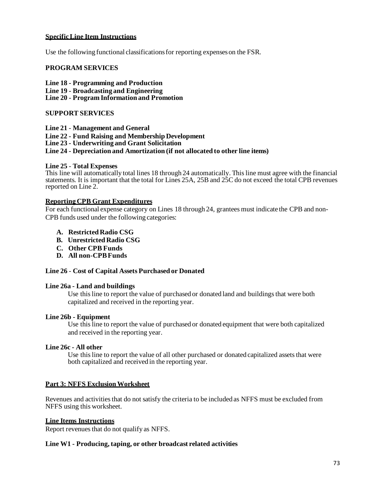### **SpecificLine Item Instructions**

Use the following functional classificationsfor reporting expenseson the FSR.

### **PROGRAM SERVICES**

**Line 18 - Programming and Production**

- **Line 19 - Broadcasting and Engineering**
- **Line 20 - Program Information and Promotion**

# **SUPPORT SERVICES**

**Line 21** - **Management and General**

- **Line 22 - Fund Raising and Membership Development**
- **Line 23 - Underwriting and Grant Solicitation**

# **Line 24 - Depreciation and Amortization (if not allocated to other line items)**

#### **Line 25** - **Total Expenses**

This line will automatically total lines 18 through 24 automatically. Thisline must agree with the financial statements. It is important that the total for Lines 25A, 25B and 25C do not exceed the total CPB revenues reported on Line 2.

#### **ReportingCPB Grant Expenditures**

For each functional expense category on Lines 18 through 24, grantees must indicate the CPB and non-CPB funds used under the following categories:

- **A. Restricted Radio CSG**
- **B. Unrestricted Radio CSG**
- **C. Other CPB Funds**
- **D. All non-CPBFunds**

# **Line 26** - **Cost of Capital Assets Purchased or Donated**

#### **Line 26a - Land and buildings**

Use this line to report the value of purchased or donated land and buildings that were both capitalized and received in the reporting year.

#### **Line 26b - Equipment**

Use this line to report the value of purchased or donated equipment that were both capitalized and received in the reporting year.

#### **Line 26c - All other**

Use this line to report the value of all other purchased or donated capitalized assets that were both capitalized and received in the reporting year.

# **Part 3: NFFS ExclusionWorksheet**

Revenues and activities that do not satisfy the criteria to be included as NFFS must be excluded from NFFS using this worksheet.

#### **Line Items Instructions**

Report revenues that do not qualify as NFFS.

# **Line W1 - Producing, taping, or other broadcast related activities**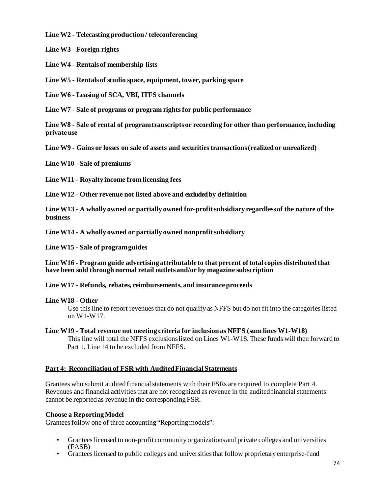**Line W2 - Telecasting production / teleconferencing**

**Line W3 - Foreign rights**

**Line W4 - Rentalsof membership lists**

**Line W5 - Rentalsof studio space, equipment, tower, parking space**

**Line W6 - Leasing of SCA, VBI, ITFS channels**

**Line W7 - Sale of programs or program rightsfor public performance**

**Line W8 - Sale of rental of programtranscriptsor recording for other than performance, including privateuse**

**Line W9 - Gains or losses on sale of assets and securitiestransactions(realized or unrealized)** 

**Line W10 - Sale of premiums**

**Line W11 - Royalty income from licensing fees**

**Line W12 - Other revenue not listed above and excludedby definition**

**Line W13 - A wholly owned or partially owned for-profitsubsidiary regardlessof the nature of the business**

**Line W14 - A wholly owned or partially owned nonprofitsubsidiary**

**Line W15 - Sale of programguides**

**Line W16 - Program guide advertising attributable to that percent of total copies distributed that have been sold through normal retail outletsand/or by magazine subscription**

**Line W17 - Refunds, rebates, reimbursements, and insuranceproceeds**

# **Line W18 - Other**

Use this line to report revenues that do not qualify as NFFS but do not fit into the categories listed on W1-W17.

# **Line W19 - Total revenue not meeting criteria for inclusion as NFFS (sum lines W1-W18)** This line will total the NFFS exclusionslisted on Lines W1-W18. These funds will then forward to Part 1, Line 14 to be excluded from NFFS.

# **Part 4: Reconciliation of FSR with AuditedFinancial Statements**

Grantees who submit audited financial statements with their FSRs are required to complete Part 4. Revenues and financial activities that are not recognized as revenue in the audited financial statements cannot be reported as revenue in the corresponding FSR.

# **Choose a ReportingModel**

Grantees follow one of three accounting "Reporting models":

- Grantees licensed to non-profit community organizations and private colleges and universities (FASB)
- Grantees licensed to public colleges and universities that follow proprietary enterprise-fund